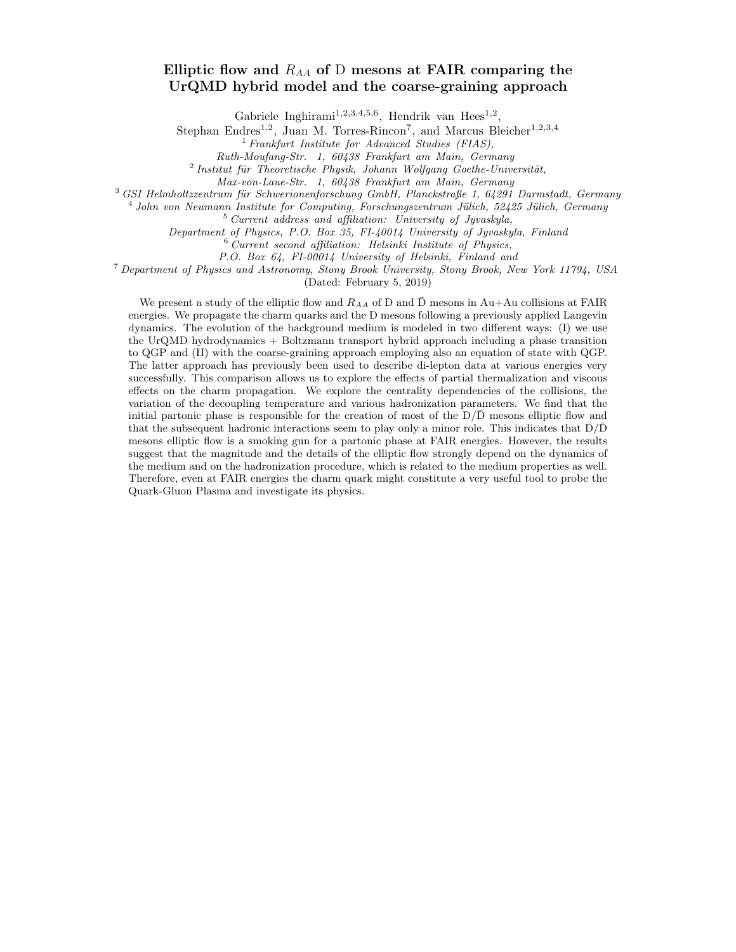# Elliptic flow and  $R_{AA}$  of D mesons at FAIR comparing the UrQMD hybrid model and the coarse-graining approach

Gabriele Inghirami<sup>1,2,3,4,5,6</sup>, Hendrik van Hees<sup>1,2</sup>,

Stephan Endres<sup>1,2</sup>, Juan M. Torres-Rincon<sup>7</sup>, and Marcus Bleicher<sup>1,2,3,4</sup>

 $<sup>1</sup>$  Frankfurt Institute for Advanced Studies (FIAS),</sup>

Ruth-Moufang-Str. 1, 60438 Frankfurt am Main, Germany

 $2$ Institut für Theoretische Physik, Johann Wolfgang Goethe-Universität,

Max-von-Laue-Str. 1, 60438 Frankfurt am Main, Germany

 $3$  GSI Helmholtzzentrum für Schwerionenforschung GmbH, Planckstraße 1, 64291 Darmstadt, Germany

<sup>4</sup> John von Neumann Institute for Computing, Forschungszentrum Jülich, 52425 Jülich, Germany

<sup>5</sup> Current address and affiliation: University of Jyvaskyla,

Department of Physics, P.O. Box 35, FI-40014 University of Jyvaskyla, Finland

 $6$  Current second affiliation: Helsinki Institute of Physics,

P.O. Box 64, FI-00014 University of Helsinki, Finland and

<sup>7</sup> Department of Physics and Astronomy, Stony Brook University, Stony Brook, New York 11794, USA

(Dated: February 5, 2019)

We present a study of the elliptic flow and  $R_{AA}$  of D and  $\bar{D}$  mesons in Au+Au collisions at FAIR energies. We propagate the charm quarks and the D mesons following a previously applied Langevin dynamics. The evolution of the background medium is modeled in two different ways: (I) we use the UrQMD hydrodynamics + Boltzmann transport hybrid approach including a phase transition to QGP and (II) with the coarse-graining approach employing also an equation of state with QGP. The latter approach has previously been used to describe di-lepton data at various energies very successfully. This comparison allows us to explore the effects of partial thermalization and viscous effects on the charm propagation. We explore the centrality dependencies of the collisions, the variation of the decoupling temperature and various hadronization parameters. We find that the initial partonic phase is responsible for the creation of most of the  $D/\overline{D}$  mesons elliptic flow and that the subsequent hadronic interactions seem to play only a minor role. This indicates that  $D/\overline{D}$ mesons elliptic flow is a smoking gun for a partonic phase at FAIR energies. However, the results suggest that the magnitude and the details of the elliptic flow strongly depend on the dynamics of the medium and on the hadronization procedure, which is related to the medium properties as well. Therefore, even at FAIR energies the charm quark might constitute a very useful tool to probe the Quark-Gluon Plasma and investigate its physics.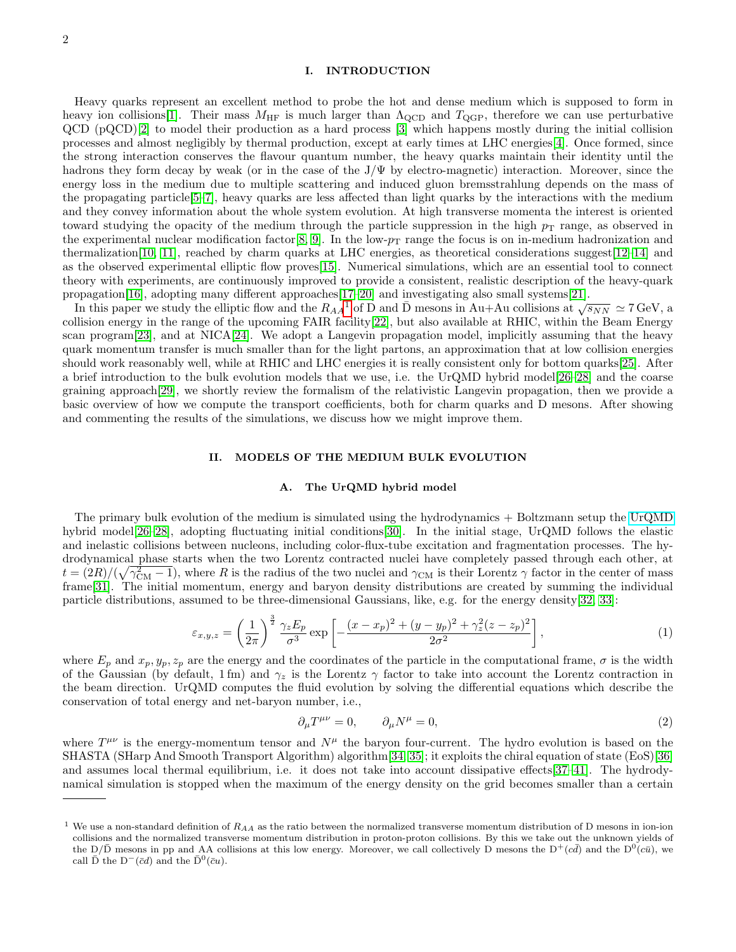## I. INTRODUCTION

Heavy quarks represent an excellent method to probe the hot and dense medium which is supposed to form in heavy ion collisions[\[1\]](#page-22-0). Their mass  $M_{\text{HF}}$  is much larger than  $\Lambda_{\text{QCD}}$  and  $T_{\text{QGP}}$ , therefore we can use perturbative QCD (pQCD)[\[2\]](#page-22-1) to model their production as a hard process [\[3\]](#page-22-2) which happens mostly during the initial collision processes and almost negligibly by thermal production, except at early times at LHC energies[\[4\]](#page-22-3). Once formed, since the strong interaction conserves the flavour quantum number, the heavy quarks maintain their identity until the hadrons they form decay by weak (or in the case of the J/Ψ by electro-magnetic) interaction. Moreover, since the energy loss in the medium due to multiple scattering and induced gluon bremsstrahlung depends on the mass of the propagating particle[\[5–](#page-22-4)[7\]](#page-22-5), heavy quarks are less affected than light quarks by the interactions with the medium and they convey information about the whole system evolution. At high transverse momenta the interest is oriented toward studying the opacity of the medium through the particle suppression in the high  $p<sub>T</sub>$  range, as observed in the experimental nuclear modification factor [\[8,](#page-22-6) [9\]](#page-22-7). In the low- $p_T$  range the focus is on in-medium hadronization and thermalization [\[10,](#page-22-8) [11\]](#page-22-9), reached by charm quarks at LHC energies, as theoretical considerations suggest [\[12–](#page-22-10)[14\]](#page-22-11) and as the observed experimental elliptic flow proves[\[15\]](#page-22-12). Numerical simulations, which are an essential tool to connect theory with experiments, are continuously improved to provide a consistent, realistic description of the heavy-quark propagation[\[16\]](#page-22-13), adopting many different approaches[\[17](#page-22-14)[–20\]](#page-22-15) and investigating also small systems[\[21\]](#page-22-16).

opagation [[1](#page-1-0)0], adopting many different approaches  $17-20$  and investigating also small systems  $21$ ].<br>In this paper we study the elliptic flow and the  $R_{AA}^{-1}$  of D and D mesons in Au+Au collisions at  $\sqrt{s_{NN}} \simeq 7$  GeV collision energy in the range of the upcoming FAIR facility[\[22\]](#page-22-17), but also available at RHIC, within the Beam Energy scan program[\[23\]](#page-22-18), and at NICA[\[24\]](#page-22-19). We adopt a Langevin propagation model, implicitly assuming that the heavy quark momentum transfer is much smaller than for the light partons, an approximation that at low collision energies should work reasonably well, while at RHIC and LHC energies it is really consistent only for bottom quarks[\[25\]](#page-22-20). After a brief introduction to the bulk evolution models that we use, i.e. the UrQMD hybrid model[\[26–](#page-22-21)[28\]](#page-22-22) and the coarse graining approach[\[29\]](#page-22-23), we shortly review the formalism of the relativistic Langevin propagation, then we provide a basic overview of how we compute the transport coefficients, both for charm quarks and D mesons. After showing and commenting the results of the simulations, we discuss how we might improve them.

#### II. MODELS OF THE MEDIUM BULK EVOLUTION

#### A. The UrQMD hybrid model

The primary bulk evolution of the medium is simulated using the hydrodynamics + Boltzmann setup the [UrQMD](https://urqmd.org) hybrid model[\[26](#page-22-21)[–28\]](#page-22-22), adopting fluctuating initial conditions[\[30\]](#page-22-24). In the initial stage, UrQMD follows the elastic and inelastic collisions between nucleons, including color-flux-tube excitation and fragmentation processes. The hydrodynamical phase starts when the two Lorentz contracted nuclei have completely passed through each other, at  $t = (2R)/(\sqrt{\gamma_{\rm CM}^2 - 1})$ , where R is the radius of the two nuclei and  $\gamma_{\rm CM}$  is their Lorentz  $\gamma$  factor in the center of mass frame[\[31\]](#page-22-25). The initial momentum, energy and baryon density distributions are created by summing the individual particle distributions, assumed to be three-dimensional Gaussians, like, e.g. for the energy density[\[32,](#page-22-26) [33\]](#page-22-27):

$$
\varepsilon_{x,y,z} = \left(\frac{1}{2\pi}\right)^{\frac{3}{2}} \frac{\gamma_z E_p}{\sigma^3} \exp\left[-\frac{(x-x_p)^2 + (y-y_p)^2 + \gamma_z^2 (z-z_p)^2}{2\sigma^2}\right],\tag{1}
$$

where  $E_p$  and  $x_p, y_p, z_p$  are the energy and the coordinates of the particle in the computational frame,  $\sigma$  is the width of the Gaussian (by default, 1 fm) and  $\gamma_z$  is the Lorentz  $\gamma$  factor to take into account the Lorentz contraction in the beam direction. UrQMD computes the fluid evolution by solving the differential equations which describe the conservation of total energy and net-baryon number, i.e.,

$$
\partial_{\mu}T^{\mu\nu} = 0, \qquad \partial_{\mu}N^{\mu} = 0, \tag{2}
$$

where  $T^{\mu\nu}$  is the energy-momentum tensor and  $N^{\mu}$  the baryon four-current. The hydro evolution is based on the SHASTA (SHarp And Smooth Transport Algorithm) algorithm[\[34,](#page-22-28) [35\]](#page-22-29); it exploits the chiral equation of state (EoS)[\[36\]](#page-22-30) and assumes local thermal equilibrium, i.e. it does not take into account dissipative effects[\[37–](#page-22-31)[41\]](#page-22-32). The hydrodynamical simulation is stopped when the maximum of the energy density on the grid becomes smaller than a certain

<span id="page-1-0"></span><sup>&</sup>lt;sup>1</sup> We use a non-standard definition of  $R_{AA}$  as the ratio between the normalized transverse momentum distribution of D mesons in ion-ion collisions and the normalized transverse momentum distribution in proton-proton collisions. By this we take out the unknown yields of the D/D mesons in pp and AA collisions at this low energy. Moreover, we call collectively D mesons the  $D^+(c\bar{d})$  and the  $D^0(c\bar{u})$ , we call  $\bar{D}$  the  $D^{-}(\bar{c}d)$  and the  $\bar{D}^{0}(\bar{c}u)$ .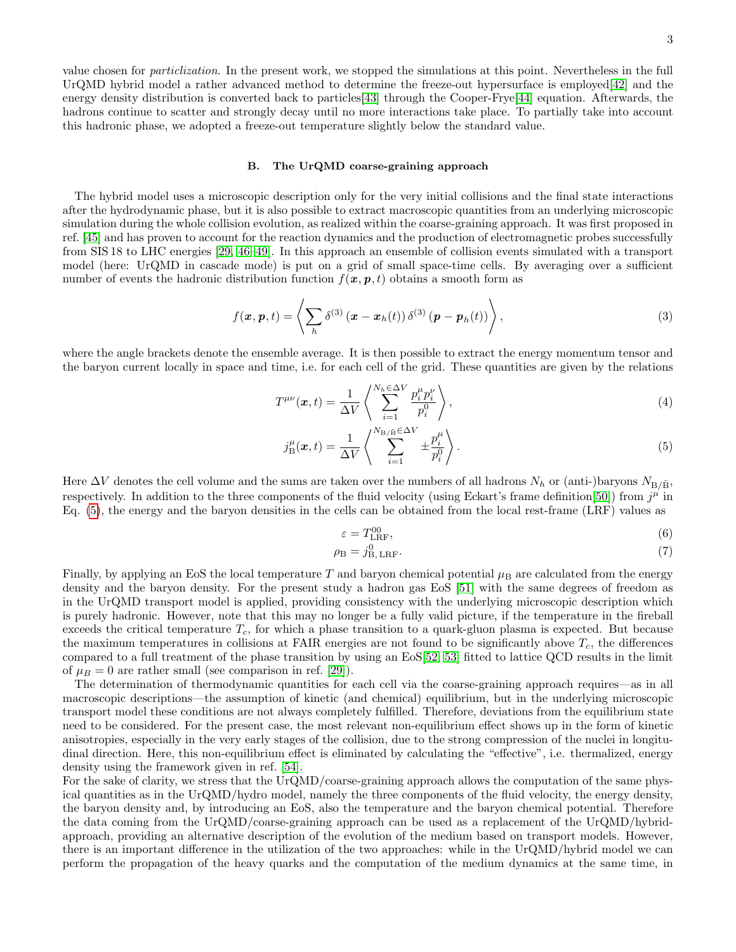value chosen for particlization. In the present work, we stopped the simulations at this point. Nevertheless in the full UrQMD hybrid model a rather advanced method to determine the freeze-out hypersurface is employed[\[42\]](#page-22-33) and the energy density distribution is converted back to particles[\[43\]](#page-22-34) through the Cooper-Frye[\[44\]](#page-22-35) equation. Afterwards, the hadrons continue to scatter and strongly decay until no more interactions take place. To partially take into account this hadronic phase, we adopted a freeze-out temperature slightly below the standard value.

### B. The UrQMD coarse-graining approach

The hybrid model uses a microscopic description only for the very initial collisions and the final state interactions after the hydrodynamic phase, but it is also possible to extract macroscopic quantities from an underlying microscopic simulation during the whole collision evolution, as realized within the coarse-graining approach. It was first proposed in ref. [\[45\]](#page-22-36) and has proven to account for the reaction dynamics and the production of electromagnetic probes successfully from SIS 18 to LHC energies [\[29,](#page-22-23) [46–](#page-22-37)[49\]](#page-22-38). In this approach an ensemble of collision events simulated with a transport model (here: UrQMD in cascade mode) is put on a grid of small space-time cells. By averaging over a sufficient number of events the hadronic distribution function  $f(\mathbf{x}, \mathbf{p}, t)$  obtains a smooth form as

$$
f(\boldsymbol{x}, \boldsymbol{p}, t) = \left\langle \sum_{h} \delta^{(3)} (\boldsymbol{x} - \boldsymbol{x}_{h}(t)) \delta^{(3)} (\boldsymbol{p} - \boldsymbol{p}_{h}(t)) \right\rangle, \qquad (3)
$$

where the angle brackets denote the ensemble average. It is then possible to extract the energy momentum tensor and the baryon current locally in space and time, i.e. for each cell of the grid. These quantities are given by the relations

<span id="page-2-0"></span>
$$
T^{\mu\nu}(\boldsymbol{x},t) = \frac{1}{\Delta V} \left\langle \sum_{i=1}^{N_h \in \Delta V} \frac{p_i^{\mu} p_i^{\nu}}{p_i^0} \right\rangle, \tag{4}
$$

$$
j_{\mathrm{B}}^{\mu}(\boldsymbol{x},t) = \frac{1}{\Delta V} \left\langle \sum_{i=1}^{N_{\mathrm{B}}/\mathrm{B}} \sum_{i=1}^{\infty} \pm \frac{p_i^{\mu}}{p_i^0} \right\rangle. \tag{5}
$$

Here  $\Delta V$  denotes the cell volume and the sums are taken over the numbers of all hadrons  $N_h$  or (anti-)baryons  $N_{\rm B/\bar{B}}$ , respectively. In addition to the three components of the fluid velocity (using Eckart's frame definition[\[50\]](#page-22-39)) from  $j^{\mu}$  in Eq. [\(5\)](#page-2-0), the energy and the baryon densities in the cells can be obtained from the local rest-frame (LRF) values as

$$
\varepsilon = T_{\text{LRF}}^{00},\tag{6}
$$

$$
\rho_{\rm B} = j_{\rm B, LRF}^0. \tag{7}
$$

Finally, by applying an EoS the local temperature T and baryon chemical potential  $\mu_B$  are calculated from the energy density and the baryon density. For the present study a hadron gas EoS [\[51\]](#page-22-40) with the same degrees of freedom as in the UrQMD transport model is applied, providing consistency with the underlying microscopic description which is purely hadronic. However, note that this may no longer be a fully valid picture, if the temperature in the fireball exceeds the critical temperature  $T_c$ , for which a phase transition to a quark-gluon plasma is expected. But because the maximum temperatures in collisions at FAIR energies are not found to be significantly above  $T_c$ , the differences compared to a full treatment of the phase transition by using an EoS[\[52,](#page-22-41) [53\]](#page-22-42) fitted to lattice QCD results in the limit of  $\mu_B = 0$  are rather small (see comparison in ref. [\[29\]](#page-22-23)).

The determination of thermodynamic quantities for each cell via the coarse-graining approach requires—as in all macroscopic descriptions—the assumption of kinetic (and chemical) equilibrium, but in the underlying microscopic transport model these conditions are not always completely fulfilled. Therefore, deviations from the equilibrium state need to be considered. For the present case, the most relevant non-equilibrium effect shows up in the form of kinetic anisotropies, especially in the very early stages of the collision, due to the strong compression of the nuclei in longitudinal direction. Here, this non-equilibrium effect is eliminated by calculating the "effective", i.e. thermalized, energy density using the framework given in ref. [\[54\]](#page-23-0).

For the sake of clarity, we stress that the UrQMD/coarse-graining approach allows the computation of the same physical quantities as in the UrQMD/hydro model, namely the three components of the fluid velocity, the energy density, the baryon density and, by introducing an EoS, also the temperature and the baryon chemical potential. Therefore the data coming from the UrQMD/coarse-graining approach can be used as a replacement of the UrQMD/hybridapproach, providing an alternative description of the evolution of the medium based on transport models. However, there is an important difference in the utilization of the two approaches: while in the UrQMD/hybrid model we can perform the propagation of the heavy quarks and the computation of the medium dynamics at the same time, in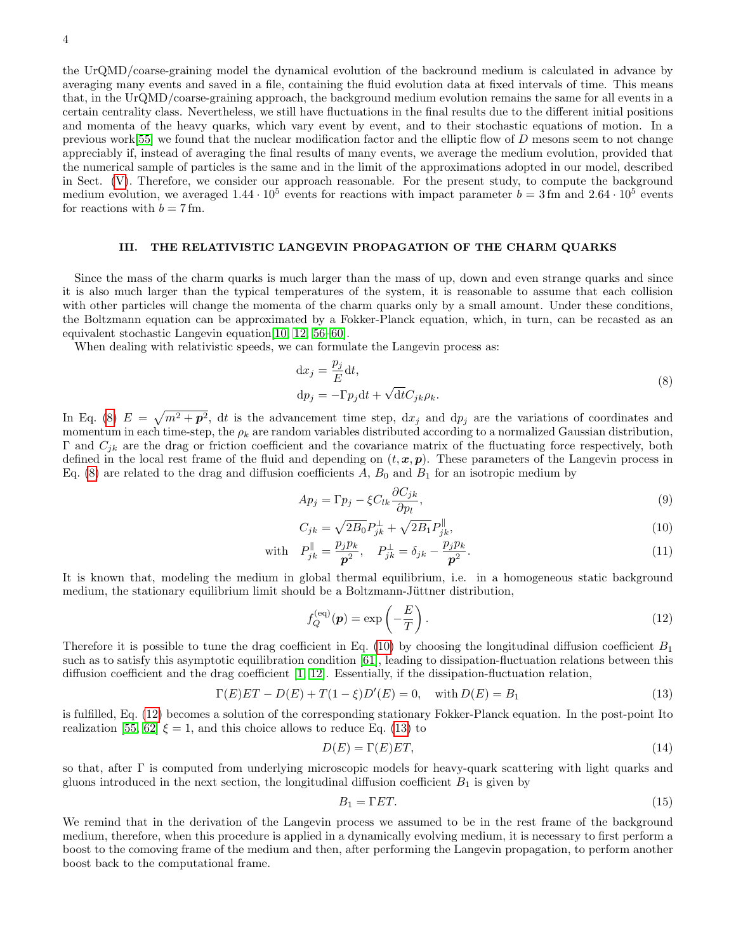4

the UrQMD/coarse-graining model the dynamical evolution of the backround medium is calculated in advance by averaging many events and saved in a file, containing the fluid evolution data at fixed intervals of time. This means that, in the UrQMD/coarse-graining approach, the background medium evolution remains the same for all events in a certain centrality class. Nevertheless, we still have fluctuations in the final results due to the different initial positions and momenta of the heavy quarks, which vary event by event, and to their stochastic equations of motion. In a previous work[\[55\]](#page-23-1) we found that the nuclear modification factor and the elliptic flow of D mesons seem to not change appreciably if, instead of averaging the final results of many events, we average the medium evolution, provided that the numerical sample of particles is the same and in the limit of the approximations adopted in our model, described in Sect. [\(V\)](#page-8-0). Therefore, we consider our approach reasonable. For the present study, to compute the background medium evolution, we averaged  $1.44 \cdot 10^5$  events for reactions with impact parameter  $b = 3$  fm and  $2.64 \cdot 10^5$  events for reactions with  $b = 7$  fm.

# III. THE RELATIVISTIC LANGEVIN PROPAGATION OF THE CHARM QUARKS

Since the mass of the charm quarks is much larger than the mass of up, down and even strange quarks and since it is also much larger than the typical temperatures of the system, it is reasonable to assume that each collision with other particles will change the momenta of the charm quarks only by a small amount. Under these conditions, the Boltzmann equation can be approximated by a Fokker-Planck equation, which, in turn, can be recasted as an equivalent stochastic Langevin equation[\[10,](#page-22-8) [12,](#page-22-10) [56–](#page-23-2)[60\]](#page-23-3).

When dealing with relativistic speeds, we can formulate the Langevin process as:

<span id="page-3-0"></span>
$$
dx_j = \frac{p_j}{E} dt,
$$
  
\n
$$
dp_j = -\Gamma p_j dt + \sqrt{dt} C_{jk} \rho_k.
$$
\n(8)

In Eq. [\(8\)](#page-3-0)  $E = \sqrt{m^2 + p^2}$ , dt is the advancement time step,  $dx_j$  and  $dp_j$  are the variations of coordinates and momentum in each time-step, the  $\rho_k$  are random variables distributed according to a normalized Gaussian distribution, Γ and  $C_{ik}$  are the drag or friction coefficient and the covariance matrix of the fluctuating force respectively, both defined in the local rest frame of the fluid and depending on  $(t, x, p)$ . These parameters of the Langevin process in Eq. [\(8\)](#page-3-0) are related to the drag and diffusion coefficients  $A, B_0$  and  $B_1$  for an isotropic medium by

$$
Ap_j = \Gamma p_j - \xi C_{lk} \frac{\partial C_{jk}}{\partial p_l},\tag{9}
$$

<span id="page-3-1"></span>
$$
C_{jk} = \sqrt{2B_0}P_{jk}^{\perp} + \sqrt{2B_1}P_{jk}^{\parallel},\tag{10}
$$

with 
$$
P_{jk}^{\parallel} = \frac{p_j p_k}{p^2}, \quad P_{jk}^{\perp} = \delta_{jk} - \frac{p_j p_k}{p^2}.
$$
 (11)

It is known that, modeling the medium in global thermal equilibrium, i.e. in a homogeneous static background medium, the stationary equilibrium limit should be a Boltzmann-Jüttner distribution,

<span id="page-3-2"></span>
$$
f_Q^{(eq)}(\mathbf{p}) = \exp\left(-\frac{E}{T}\right). \tag{12}
$$

Therefore it is possible to tune the drag coefficient in Eq. [\(10\)](#page-3-1) by choosing the longitudinal diffusion coefficient  $B_1$ such as to satisfy this asymptotic equilibration condition [\[61\]](#page-23-4), leading to dissipation-fluctuation relations between this diffusion coefficient and the drag coefficient [\[1,](#page-22-0) [12\]](#page-22-10). Essentially, if the dissipation-fluctuation relation,

$$
\Gamma(E)ET - D(E) + T(1 - \xi)D'(E) = 0, \quad \text{with } D(E) = B_1
$$
\n(13)

is fulfilled, Eq. [\(12\)](#page-3-2) becomes a solution of the corresponding stationary Fokker-Planck equation. In the post-point Ito realization [\[55,](#page-23-1) [62\]](#page-23-5)  $\xi = 1$ , and this choice allows to reduce Eq. [\(13\)](#page-3-3) to

<span id="page-3-3"></span>
$$
D(E) = \Gamma(E)ET,\tag{14}
$$

so that, after Γ is computed from underlying microscopic models for heavy-quark scattering with light quarks and gluons introduced in the next section, the longitudinal diffusion coefficient  $B_1$  is given by

$$
B_1 = \Gamma ET. \tag{15}
$$

We remind that in the derivation of the Langevin process we assumed to be in the rest frame of the background medium, therefore, when this procedure is applied in a dynamically evolving medium, it is necessary to first perform a boost to the comoving frame of the medium and then, after performing the Langevin propagation, to perform another boost back to the computational frame.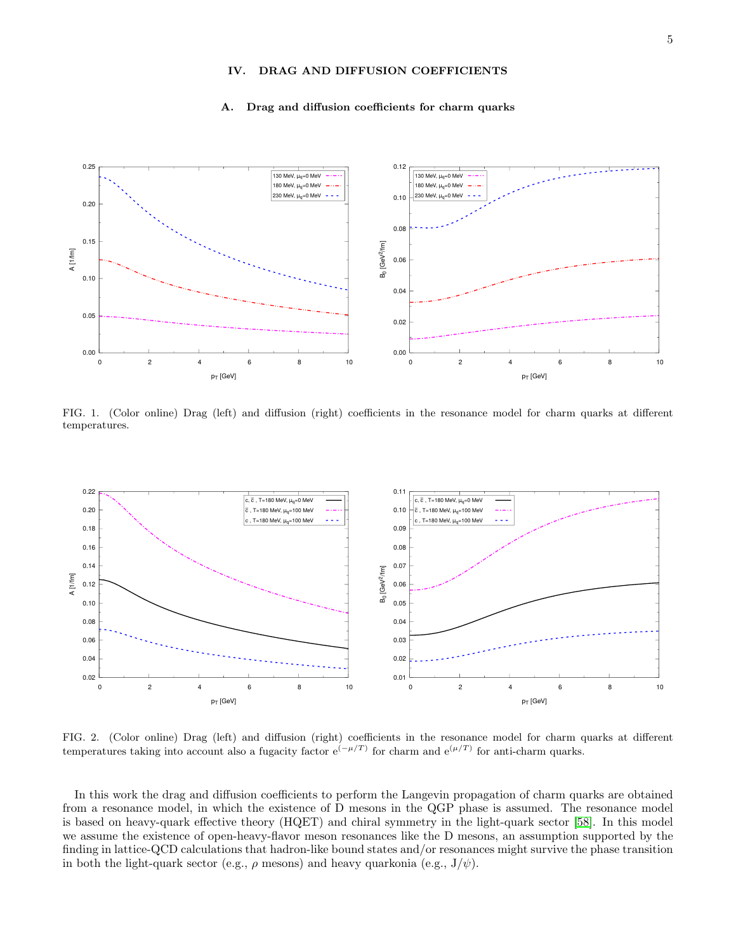# IV. DRAG AND DIFFUSION COEFFICIENTS

#### A. Drag and diffusion coefficients for charm quarks



FIG. 1. (Color online) Drag (left) and diffusion (right) coefficients in the resonance model for charm quarks at different temperatures.



FIG. 2. (Color online) Drag (left) and diffusion (right) coefficients in the resonance model for charm quarks at different temperatures taking into account also a fugacity factor  $e^{(-\mu/T)}$  for charm and  $e^{(\mu/T)}$  for anti-charm quarks.

In this work the drag and diffusion coefficients to perform the Langevin propagation of charm quarks are obtained from a resonance model, in which the existence of D mesons in the QGP phase is assumed. The resonance model is based on heavy-quark effective theory (HQET) and chiral symmetry in the light-quark sector [\[58\]](#page-23-6). In this model we assume the existence of open-heavy-flavor meson resonances like the D mesons, an assumption supported by the finding in lattice-QCD calculations that hadron-like bound states and/or resonances might survive the phase transition in both the light-quark sector (e.g.,  $\rho$  mesons) and heavy quarkonia (e.g.,  $J/\psi$ ).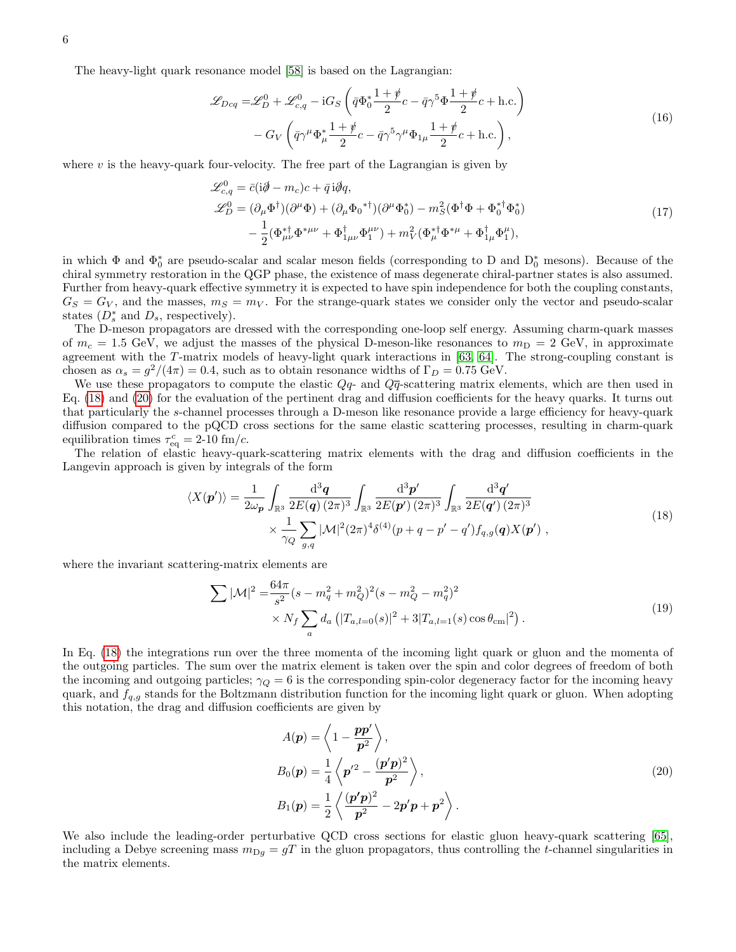The heavy-light quark resonance model [\[58\]](#page-23-6) is based on the Lagrangian:

$$
\mathcal{L}_{Dcq} = \mathcal{L}_D^0 + \mathcal{L}_{c,q}^0 - iG_S \left( \bar{q} \Phi_0^* \frac{1+\rlap{\hspace{1pt}}\psi}{2} c - \bar{q} \gamma^5 \Phi \frac{1+\rlap{\hspace{1pt}}\psi}{2} c + \text{h.c.} \right) \n- G_V \left( \bar{q} \gamma^\mu \Phi_\mu^* \frac{1+\rlap{\hspace{1pt}}\psi}{2} c - \bar{q} \gamma^5 \gamma^\mu \Phi_{1\mu} \frac{1+\rlap{\hspace{1pt}}\psi}{2} c + \text{h.c.} \right),
$$
\n(16)

where  $v$  is the heavy-quark four-velocity. The free part of the Lagrangian is given by

$$
\mathcal{L}_{c,q}^{0} = \bar{c}(i\partial \!\!\!/ - m_c)c + \bar{q}i\partial q, \n\mathcal{L}_{D}^{0} = (\partial_{\mu}\Phi^{\dagger})(\partial^{\mu}\Phi) + (\partial_{\mu}\Phi_{0}^{* \dagger})(\partial^{\mu}\Phi_{0}^{*}) - m_{S}^{2}(\Phi^{\dagger}\Phi + \Phi_{0}^{* \dagger}\Phi_{0}^{*}) \n- \frac{1}{2}(\Phi_{\mu\nu}^{* \dagger}\Phi^{*\mu\nu} + \Phi_{1\mu\nu}^{\dagger}\Phi_{1}^{\mu\nu}) + m_{V}^{2}(\Phi_{\mu}^{* \dagger}\Phi^{*\mu} + \Phi_{1\mu}^{\dagger}\Phi_{1}^{\mu}),
$$
\n(17)

in which  $\Phi$  and  $\Phi_0^*$  are pseudo-scalar and scalar meson fields (corresponding to D and  $D_0^*$  mesons). Because of the chiral symmetry restoration in the QGP phase, the existence of mass degenerate chiral-partner states is also assumed. Further from heavy-quark effective symmetry it is expected to have spin independence for both the coupling constants,  $G_S = G_V$ , and the masses,  $m_S = m_V$ . For the strange-quark states we consider only the vector and pseudo-scalar states  $(D_s^*$  and  $D_s$ , respectively).

The D-meson propagators are dressed with the corresponding one-loop self energy. Assuming charm-quark masses of  $m_c = 1.5$  GeV, we adjust the masses of the physical D-meson-like resonances to  $m_D = 2$  GeV, in approximate agreement with the T-matrix models of heavy-light quark interactions in [\[63,](#page-23-7) [64\]](#page-23-8). The strong-coupling constant is chosen as  $\alpha_s = g^2/(4\pi) = 0.4$ , such as to obtain resonance widths of  $\Gamma_D = 0.75$  GeV.

We use these propagators to compute the elastic  $Q_q$ - and  $Q\bar{q}$ -scattering matrix elements, which are then used in Eq. [\(18\)](#page-5-0) and [\(20\)](#page-5-1) for the evaluation of the pertinent drag and diffusion coefficients for the heavy quarks. It turns out that particularly the s-channel processes through a D-meson like resonance provide a large efficiency for heavy-quark diffusion compared to the pQCD cross sections for the same elastic scattering processes, resulting in charm-quark equilibration times  $\tau_{\text{eq}}^c = 2{\text -}10 \text{ fm}/c$ .

The relation of elastic heavy-quark-scattering matrix elements with the drag and diffusion coefficients in the Langevin approach is given by integrals of the form

<span id="page-5-0"></span>
$$
\langle X(\boldsymbol{p}') \rangle = \frac{1}{2\omega_{\boldsymbol{p}}} \int_{\mathbb{R}^3} \frac{\mathrm{d}^3 \boldsymbol{q}}{2E(\boldsymbol{q}) (2\pi)^3} \int_{\mathbb{R}^3} \frac{\mathrm{d}^3 \boldsymbol{p}'}{2E(\boldsymbol{p}') (2\pi)^3} \int_{\mathbb{R}^3} \frac{\mathrm{d}^3 \boldsymbol{q}'}{2E(\boldsymbol{q}') (2\pi)^3} \times \frac{1}{\gamma_Q} \sum_{g,q} |\mathcal{M}|^2 (2\pi)^4 \delta^{(4)}(p+q-p'-q') f_{q,g}(\boldsymbol{q}) X(\boldsymbol{p}') , \qquad (18)
$$

where the invariant scattering-matrix elements are

$$
\sum |\mathcal{M}|^2 = \frac{64\pi}{s^2} (s - m_q^2 + m_Q^2)^2 (s - m_Q^2 - m_q^2)^2
$$
  
 
$$
\times N_f \sum_a d_a \left( |T_{a,l=0}(s)|^2 + 3|T_{a,l=1}(s) \cos \theta_{\rm cm}|^2 \right).
$$
 (19)

In Eq. [\(18\)](#page-5-0) the integrations run over the three momenta of the incoming light quark or gluon and the momenta of the outgoing particles. The sum over the matrix element is taken over the spin and color degrees of freedom of both the incoming and outgoing particles;  $\gamma_Q = 6$  is the corresponding spin-color degeneracy factor for the incoming heavy quark, and  $f_{q,q}$  stands for the Boltzmann distribution function for the incoming light quark or gluon. When adopting this notation, the drag and diffusion coefficients are given by

<span id="page-5-1"></span>
$$
A(\mathbf{p}) = \left\langle 1 - \frac{\mathbf{p}\mathbf{p}'}{\mathbf{p}^2} \right\rangle,
$$
  
\n
$$
B_0(\mathbf{p}) = \frac{1}{4} \left\langle \mathbf{p}'^2 - \frac{(\mathbf{p}'\mathbf{p})^2}{\mathbf{p}^2} \right\rangle,
$$
  
\n
$$
B_1(\mathbf{p}) = \frac{1}{2} \left\langle \frac{(\mathbf{p}'\mathbf{p})^2}{\mathbf{p}^2} - 2\mathbf{p}'\mathbf{p} + \mathbf{p}^2 \right\rangle.
$$
\n(20)

We also include the leading-order perturbative QCD cross sections for elastic gluon heavy-quark scattering [\[65\]](#page-23-9), including a Debye screening mass  $m_{\text{D}g} = gT$  in the gluon propagators, thus controlling the t-channel singularities in the matrix elements.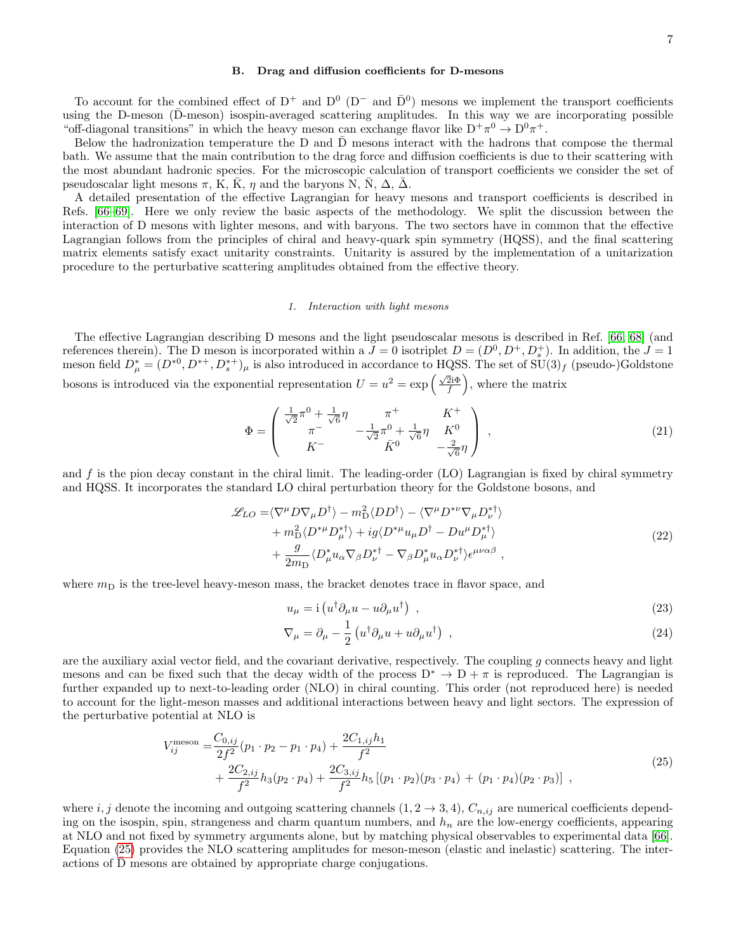#### B. Drag and diffusion coefficients for D-mesons

To account for the combined effect of  $D^+$  and  $D^0$  ( $D^-$  and  $\bar{D}^0$ ) mesons we implement the transport coefficients using the D-meson  $(\bar{D}$ -meson) isospin-averaged scattering amplitudes. In this way we are incorporating possible "off-diagonal transitions" in which the heavy meson can exchange flavor like  $D^+\pi^0 \to D^0\pi^+$ .

Below the hadronization temperature the D and  $\bar{D}$  mesons interact with the hadrons that compose the thermal bath. We assume that the main contribution to the drag force and diffusion coefficients is due to their scattering with the most abundant hadronic species. For the microscopic calculation of transport coefficients we consider the set of pseudoscalar light mesons  $\pi$ , K,  $\bar{K}$ ,  $\eta$  and the baryons N,  $\bar{N}$ ,  $\Delta$ ,  $\bar{\Delta}$ .

A detailed presentation of the effective Lagrangian for heavy mesons and transport coefficients is described in Refs. [\[66](#page-23-10)[–69\]](#page-23-11). Here we only review the basic aspects of the methodology. We split the discussion between the interaction of D mesons with lighter mesons, and with baryons. The two sectors have in common that the effective Lagrangian follows from the principles of chiral and heavy-quark spin symmetry (HQSS), and the final scattering matrix elements satisfy exact unitarity constraints. Unitarity is assured by the implementation of a unitarization procedure to the perturbative scattering amplitudes obtained from the effective theory.

#### 1. Interaction with light mesons

The effective Lagrangian describing D mesons and the light pseudoscalar mesons is described in Ref. [\[66,](#page-23-10) [68\]](#page-23-12) (and references therein). The D meson is incorporated within a  $J=0$  isotriplet  $D=(D^0, D^+, D_s^+)$ . In addition, the  $J=1$ meson field  $D^*_{\mu} = (D^{*0}, D^{*+}, D^{*+}_{s})_{\mu}$  is also introduced in accordance to HQSS. The set of  $SU(3)_f$  (pseudo-)Goldstone bosons is introduced via the exponential representation  $U = u^2 = \exp\left(\frac{\sqrt{2i}\Phi}{f}\right)$ , where the matrix

$$
\Phi = \begin{pmatrix} \frac{1}{\sqrt{2}} \pi^0 + \frac{1}{\sqrt{6}} \eta & \pi^+ & K^+ \\ \pi^- & -\frac{1}{\sqrt{2}} \pi^0 + \frac{1}{\sqrt{6}} \eta & K^0 \\ K^- & \bar{K}^0 & -\frac{2}{\sqrt{6}} \eta \end{pmatrix} ,
$$
(21)

and  $f$  is the pion decay constant in the chiral limit. The leading-order (LO) Lagrangian is fixed by chiral symmetry and HQSS. It incorporates the standard LO chiral perturbation theory for the Goldstone bosons, and

$$
\mathcal{L}_{LO} = \langle \nabla^{\mu} D \nabla_{\mu} D^{\dagger} \rangle - m_{\text{D}}^{2} \langle D D^{\dagger} \rangle - \langle \nabla^{\mu} D^{*\nu} \nabla_{\mu} D_{\nu}^{*\dagger} \rangle \n+ m_{\text{D}}^{2} \langle D^{*\mu} D_{\mu}^{*\dagger} \rangle + ig \langle D^{*\mu} u_{\mu} D^{\dagger} - Du^{\mu} D_{\mu}^{*\dagger} \rangle \n+ \frac{g}{2m_{\text{D}}} \langle D_{\mu}^{*} u_{\alpha} \nabla_{\beta} D_{\nu}^{*\dagger} - \nabla_{\beta} D_{\mu}^{*} u_{\alpha} D_{\nu}^{*\dagger} \rangle \epsilon^{\mu \nu \alpha \beta} ,
$$
\n(22)

where  $m<sub>D</sub>$  is the tree-level heavy-meson mass, the bracket denotes trace in flavor space, and

$$
u_{\mu} = i \left( u^{\dagger} \partial_{\mu} u - u \partial_{\mu} u^{\dagger} \right) , \qquad (23)
$$

<span id="page-6-0"></span>
$$
\nabla_{\mu} = \partial_{\mu} - \frac{1}{2} \left( u^{\dagger} \partial_{\mu} u + u \partial_{\mu} u^{\dagger} \right) , \qquad (24)
$$

are the auxiliary axial vector field, and the covariant derivative, respectively. The coupling  $g$  connects heavy and light mesons and can be fixed such that the decay width of the process  $D^* \to D + \pi$  is reproduced. The Lagrangian is further expanded up to next-to-leading order (NLO) in chiral counting. This order (not reproduced here) is needed to account for the light-meson masses and additional interactions between heavy and light sectors. The expression of the perturbative potential at NLO is

$$
V_{ij}^{\text{meson}} = \frac{C_{0,ij}}{2f^2}(p_1 \cdot p_2 - p_1 \cdot p_4) + \frac{2C_{1,ij}h_1}{f^2} + \frac{2C_{2,ij}}{f^2}h_3(p_2 \cdot p_4) + \frac{2C_{3,ij}}{f^2}h_5\left[(p_1 \cdot p_2)(p_3 \cdot p_4) + (p_1 \cdot p_4)(p_2 \cdot p_3)\right],
$$
\n(25)

where i, j denote the incoming and outgoing scattering channels  $(1, 2 \rightarrow 3, 4)$ ,  $C_{n, ij}$  are numerical coefficients depending on the isospin, spin, strangeness and charm quantum numbers, and  $h_n$  are the low-energy coefficients, appearing at NLO and not fixed by symmetry arguments alone, but by matching physical observables to experimental data [\[66\]](#page-23-10). Equation [\(25\)](#page-6-0) provides the NLO scattering amplitudes for meson-meson (elastic and inelastic) scattering. The interactions of D mesons are obtained by appropriate charge conjugations.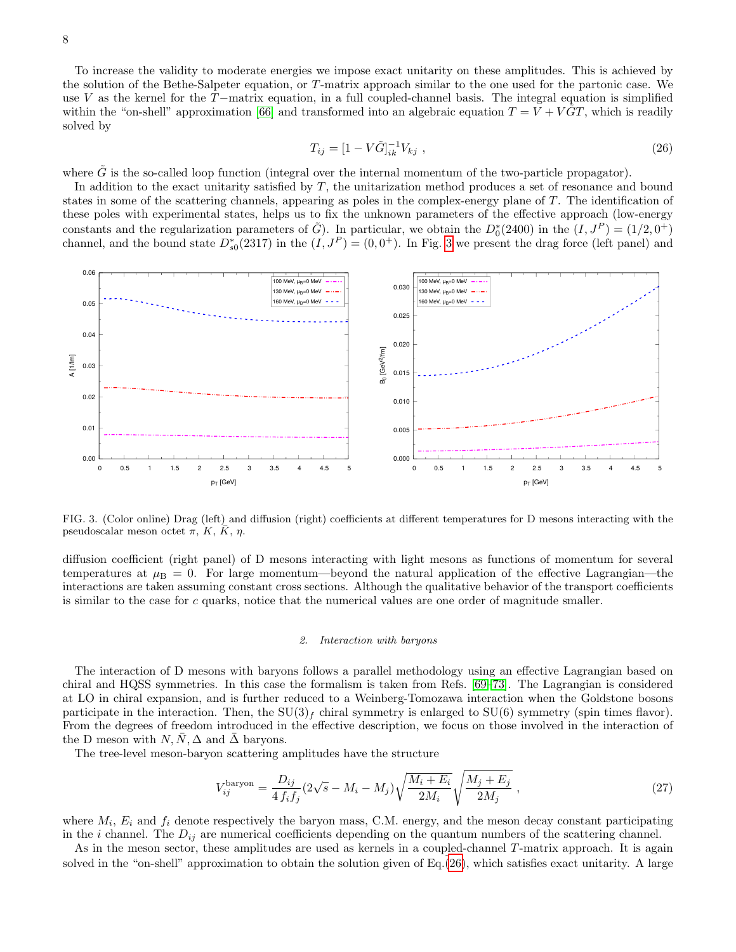<span id="page-7-1"></span>To increase the validity to moderate energies we impose exact unitarity on these amplitudes. This is achieved by the solution of the Bethe-Salpeter equation, or T-matrix approach similar to the one used for the partonic case. We use V as the kernel for the  $T-$ matrix equation, in a full coupled-channel basis. The integral equation is simplified within the "on-shell" approximation [\[66\]](#page-23-10) and transformed into an algebraic equation  $T = V + VGT$ , which is readily solved by

$$
T_{ij} = [1 - V\tilde{G}]_{ik}^{-1}V_{kj} , \qquad (26)
$$

where  $\hat{G}$  is the so-called loop function (integral over the internal momentum of the two-particle propagator).

In addition to the exact unitarity satisfied by T, the unitarization method produces a set of resonance and bound states in some of the scattering channels, appearing as poles in the complex-energy plane of T. The identification of these poles with experimental states, helps us to fix the unknown parameters of the effective approach (low-energy constants and the regularization parameters of  $\tilde{G}$ ). In particular, we obtain the  $D_0^*(2400)$  in the  $(I, J^P) = (1/2, 0^+)$ channel, and the bound state  $D_{s0}^*(2317)$  in the  $(I, J^P) = (0, 0^+)$ . In Fig. [3](#page-7-0) we present the drag force (left panel) and



<span id="page-7-0"></span>FIG. 3. (Color online) Drag (left) and diffusion (right) coefficients at different temperatures for D mesons interacting with the pseudoscalar meson octet  $\pi$ , K,  $\bar{K}$ ,  $\eta$ .

diffusion coefficient (right panel) of D mesons interacting with light mesons as functions of momentum for several temperatures at  $\mu_B = 0$ . For large momentum—beyond the natural application of the effective Lagrangian—the interactions are taken assuming constant cross sections. Although the qualitative behavior of the transport coefficients is similar to the case for c quarks, notice that the numerical values are one order of magnitude smaller.

#### 2. Interaction with baryons

The interaction of D mesons with baryons follows a parallel methodology using an effective Lagrangian based on chiral and HQSS symmetries. In this case the formalism is taken from Refs. [\[69–](#page-23-11)[73\]](#page-23-13). The Lagrangian is considered at LO in chiral expansion, and is further reduced to a Weinberg-Tomozawa interaction when the Goldstone bosons participate in the interaction. Then, the  $SU(3)<sub>f</sub>$  chiral symmetry is enlarged to  $SU(6)$  symmetry (spin times flavor). From the degrees of freedom introduced in the effective description, we focus on those involved in the interaction of the D meson with  $N, \overline{N}, \Delta$  and  $\overline{\Delta}$  baryons.

The tree-level meson-baryon scattering amplitudes have the structure

$$
V_{ij}^{\text{baryon}} = \frac{D_{ij}}{4 f_i f_j} (2\sqrt{s} - M_i - M_j) \sqrt{\frac{M_i + E_i}{2M_i}} \sqrt{\frac{M_j + E_j}{2M_j}} \,, \tag{27}
$$

where  $M_i$ ,  $E_i$  and  $f_i$  denote respectively the baryon mass, C.M. energy, and the meson decay constant participating in the i channel. The  $D_{ij}$  are numerical coefficients depending on the quantum numbers of the scattering channel.

As in the meson sector, these amplitudes are used as kernels in a coupled-channel T-matrix approach. It is again solved in the "on-shell" approximation to obtain the solution given of Eq. $(26)$ , which satisfies exact unitarity. A large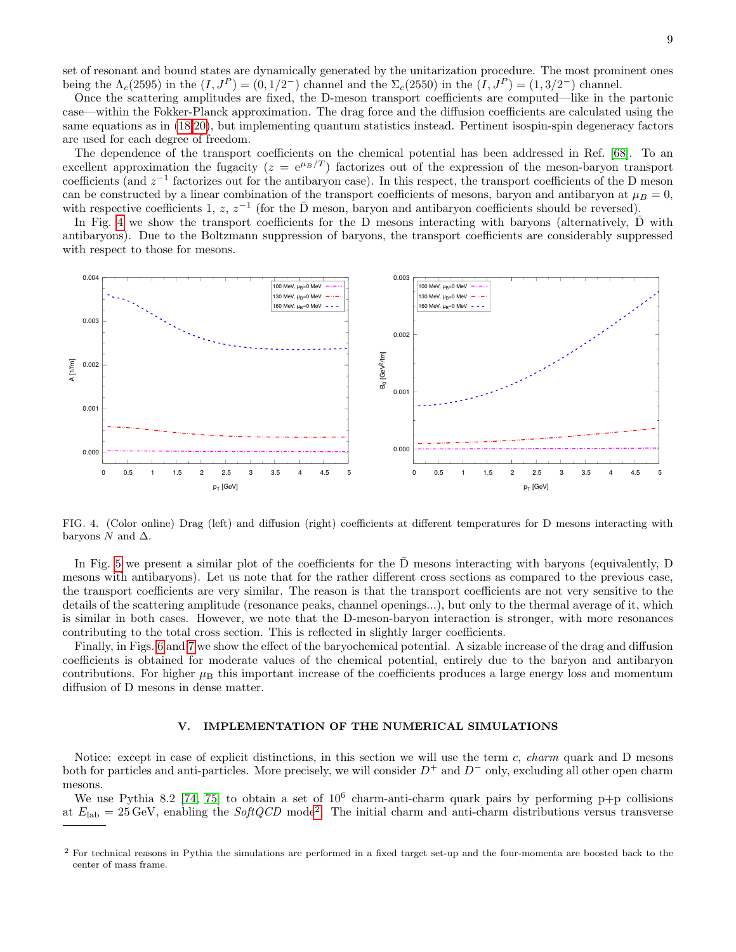set of resonant and bound states are dynamically generated by the unitarization procedure. The most prominent ones being the  $\Lambda_c(2595)$  in the  $(I, J^P) = (0, 1/2^-)$  channel and the  $\Sigma_c(2550)$  in the  $(I, J^P) = (1, 3/2^-)$  channel.

Once the scattering amplitudes are fixed, the D-meson transport coefficients are computed—like in the partonic case—within the Fokker-Planck approximation. The drag force and the diffusion coefficients are calculated using the same equations as in [\(18,](#page-5-0)[20\)](#page-5-1), but implementing quantum statistics instead. Pertinent isospin-spin degeneracy factors are used for each degree of freedom.

The dependence of the transport coefficients on the chemical potential has been addressed in Ref. [\[68\]](#page-23-12). To an excellent approximation the fugacity ( $z = e^{\mu B/T}$ ) factorizes out of the expression of the meson-baryon transport coefficients (and  $z^{-1}$  factorizes out for the antibaryon case). In this respect, the transport coefficients of the D meson can be constructed by a linear combination of the transport coefficients of mesons, baryon and antibaryon at  $\mu_B = 0$ , with respective coefficients 1, z,  $z^{-1}$  (for the  $\bar{D}$  meson, baryon and antibaryon coefficients should be reversed).

In Fig. [4](#page-8-1) we show the transport coefficients for the D mesons interacting with baryons (alternatively,  $\overline{D}$  with antibaryons). Due to the Boltzmann suppression of baryons, the transport coefficients are considerably suppressed with respect to those for mesons.



<span id="page-8-1"></span>FIG. 4. (Color online) Drag (left) and diffusion (right) coefficients at different temperatures for D mesons interacting with baryons  $N$  and  $\Delta$ .

In Fig. [5](#page-9-0) we present a similar plot of the coefficients for the  $\overline{D}$  mesons interacting with baryons (equivalently, D mesons with antibaryons). Let us note that for the rather different cross sections as compared to the previous case, the transport coefficients are very similar. The reason is that the transport coefficients are not very sensitive to the details of the scattering amplitude (resonance peaks, channel openings...), but only to the thermal average of it, which is similar in both cases. However, we note that the D-meson-baryon interaction is stronger, with more resonances contributing to the total cross section. This is reflected in slightly larger coefficients.

Finally, in Figs. [6](#page-9-1) and [7](#page-10-0) we show the effect of the baryochemical potential. A sizable increase of the drag and diffusion coefficients is obtained for moderate values of the chemical potential, entirely due to the baryon and antibaryon contributions. For higher  $\mu_B$  this important increase of the coefficients produces a large energy loss and momentum diffusion of D mesons in dense matter.

### <span id="page-8-0"></span>V. IMPLEMENTATION OF THE NUMERICAL SIMULATIONS

Notice: except in case of explicit distinctions, in this section we will use the term  $c$ , *charm* quark and D mesons both for particles and anti-particles. More precisely, we will consider  $D^+$  and  $D^-$  only, excluding all other open charm mesons.

We use Pythia 8.2 [\[74,](#page-23-14) [75\]](#page-23-15) to obtain a set of  $10^6$  charm-anti-charm quark pairs by performing p+p collisions at  $E_{\rm lab} = 25 \,\text{GeV}$  $E_{\rm lab} = 25 \,\text{GeV}$  $E_{\rm lab} = 25 \,\text{GeV}$ , enabling the  $SoftQCD \text{ mode}^2$ . The initial charm and anti-charm distributions versus transverse

<span id="page-8-2"></span><sup>2</sup> For technical reasons in Pythia the simulations are performed in a fixed target set-up and the four-momenta are boosted back to the center of mass frame.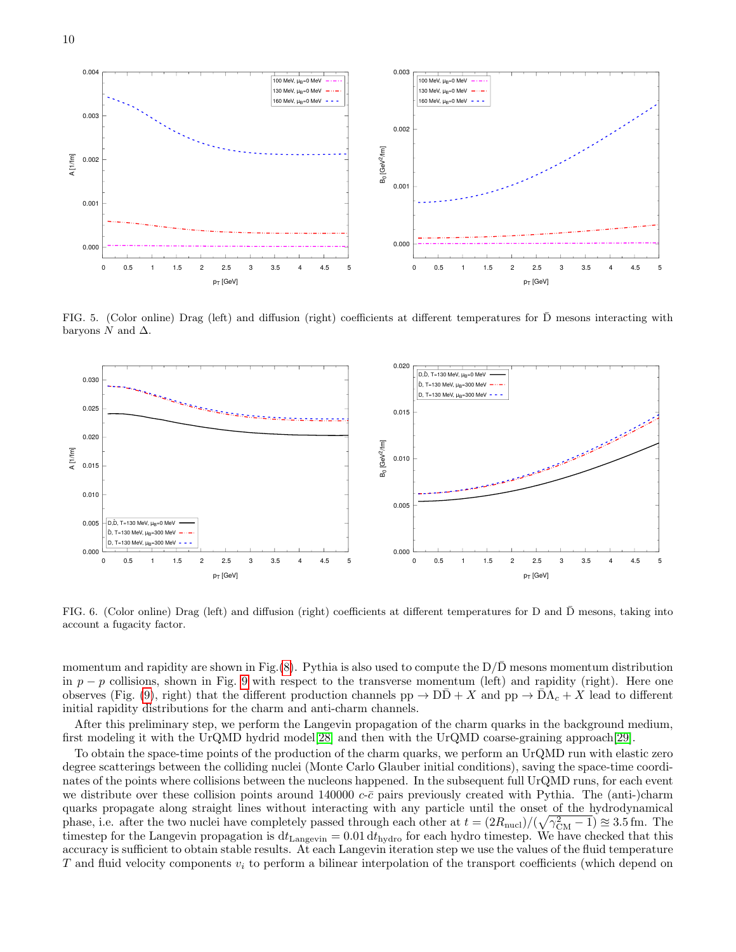

<span id="page-9-0"></span>FIG. 5. (Color online) Drag (left) and diffusion (right) coefficients at different temperatures for  $\bar{D}$  mesons interacting with baryons  $N$  and  $\Delta$ .



<span id="page-9-1"></span>FIG. 6. (Color online) Drag (left) and diffusion (right) coefficients at different temperatures for D and D mesons, taking into account a fugacity factor.

momentum and rapidity are shown in Fig. $(8)$ . Pythia is also used to compute the  $D/D$  mesons momentum distribution in  $p - p$  collisions, shown in Fig. [9](#page-11-0) with respect to the transverse momentum (left) and rapidity (right). Here one observes (Fig. [\(9\)](#page-11-0), right) that the different production channels  $pp \to D\bar{D} + X$  and  $pp \to \bar{D}\Lambda_c + X$  lead to different initial rapidity distributions for the charm and anti-charm channels.

After this preliminary step, we perform the Langevin propagation of the charm quarks in the background medium, first modeling it with the UrQMD hydrid model[\[28\]](#page-22-22) and then with the UrQMD coarse-graining approach[\[29\]](#page-22-23).

To obtain the space-time points of the production of the charm quarks, we perform an UrQMD run with elastic zero degree scatterings between the colliding nuclei (Monte Carlo Glauber initial conditions), saving the space-time coordinates of the points where collisions between the nucleons happened. In the subsequent full UrQMD runs, for each event we distribute over these collision points around 140000  $c$ - $\bar{c}$  pairs previously created with Pythia. The (anti-)charm quarks propagate along straight lines without interacting with any particle until the onset of the hydrodynamical phase, i.e. after the two nuclei have completely passed through each other at  $t = (2R_{\text{nucl}})/(\sqrt{\gamma_{\text{CM}}^2 - 1}) \approx 3.5$  fm. The timestep for the Langevin propagation is  $dt_{\text{Langevin}} = 0.01 dt_{\text{hydro}}$  for each hydro timestep. We have checked that this accuracy is sufficient to obtain stable results. At each Langevin iteration step we use the values of the fluid temperature T and fluid velocity components  $v_i$  to perform a bilinear interpolation of the transport coefficients (which depend on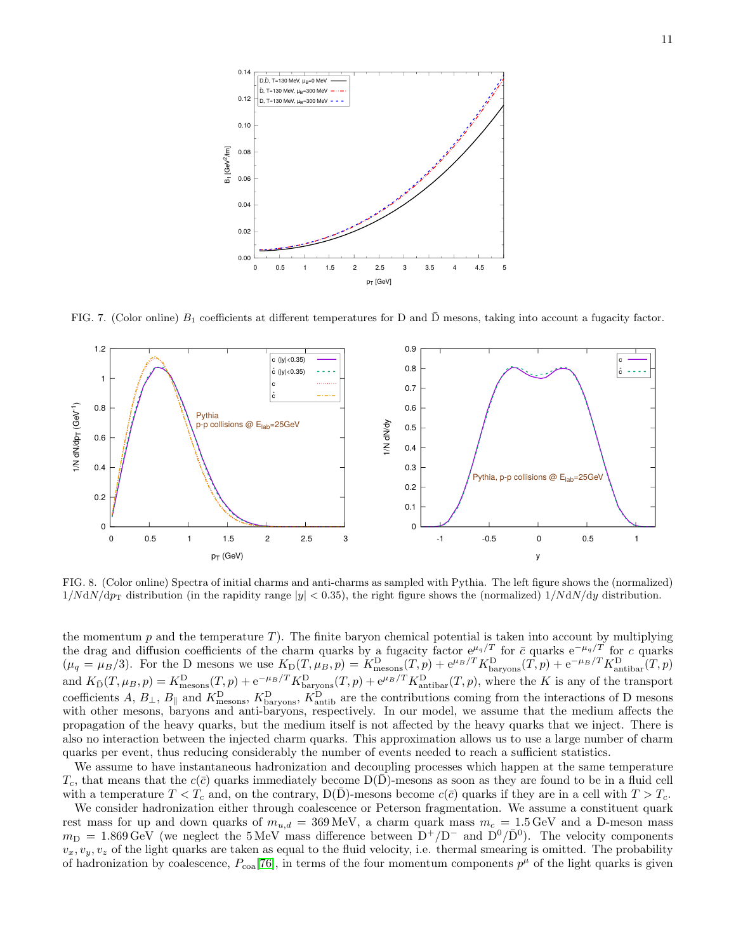

<span id="page-10-0"></span>FIG. 7. (Color online)  $B_1$  coefficients at different temperatures for D and  $\overline{D}$  mesons, taking into account a fugacity factor.



<span id="page-10-1"></span>FIG. 8. (Color online) Spectra of initial charms and anti-charms as sampled with Pythia. The left figure shows the (normalized)  $1/NdN/dp<sub>T</sub>$  distribution (in the rapidity range  $|y| < 0.35$ ), the right figure shows the (normalized)  $1/NdN/dy$  distribution.

the momentum  $p$  and the temperature  $T$ ). The finite baryon chemical potential is taken into account by multiplying the drag and diffusion coefficients of the charm quarks by a fugacity factor  $e^{\mu_q/T}$  for  $\bar{c}$  quarks  $e^{-\mu_q/T}$  for c quarks  $(\mu_q = \mu_B/3)$ . For the D mesons we use  $K_D(T, \mu_B, p) = K_{\text{mesons}}^D(T, p) + e^{\mu_B/T} K_{\text{baryons}}^D(T, p) + e^{-\mu_B/T} K_{\text{antibar}}^D(T, p)$ and  $K_{\bar{D}}(T,\mu_B,p) = K_{\text{mesons}}^{\text{D}}(T,p) + e^{-\mu_B/T} K_{\text{baryons}}^{\text{D}}(T,p) + e^{\mu_B/T} K_{\text{antibar}}^{\text{D}}(T,p)$ , where the K is any of the transport coefficients A,  $B_{\perp}$ ,  $B_{\parallel}$  and  $K_{\text{mesons}}^{\text{D}}$ ,  $K_{\text{baryons}}^{\text{D}}$ ,  $K_{\text{antib}}^{\text{D}}$  are the contributions coming from the interactions of D mesons with other mesons, baryons and anti-baryons, respectively. In our model, we assume that the medium affects the propagation of the heavy quarks, but the medium itself is not affected by the heavy quarks that we inject. There is also no interaction between the injected charm quarks. This approximation allows us to use a large number of charm quarks per event, thus reducing considerably the number of events needed to reach a sufficient statistics.

We assume to have instantaneous hadronization and decoupling processes which happen at the same temperature  $T_c$ , that means that the  $c(\bar{c})$  quarks immediately become  $D(D)$ -mesons as soon as they are found to be in a fluid cell with a temperature  $T < T_c$  and, on the contrary,  $D(\bar{D})$ -mesons become  $c(\bar{c})$  quarks if they are in a cell with  $T > T_c$ .

We consider hadronization either through coalescence or Peterson fragmentation. We assume a constituent quark rest mass for up and down quarks of  $m_{u,d} = 369 \text{ MeV}$ , a charm quark mass  $m_c = 1.5 \text{ GeV}$  and a D-meson mass  $m_D = 1.869 \,\text{GeV}$  (we neglect the 5 MeV mass difference between  $D^+/D^-$  and  $D^0/\bar{D}^0$ ). The velocity components  $v_x, v_y, v_z$  of the light quarks are taken as equal to the fluid velocity, i.e. thermal smearing is omitted. The probability of hadronization by coalescence,  $P_{\text{coa}}[76]$  $P_{\text{coa}}[76]$ , in terms of the four momentum components  $p^{\mu}$  of the light quarks is given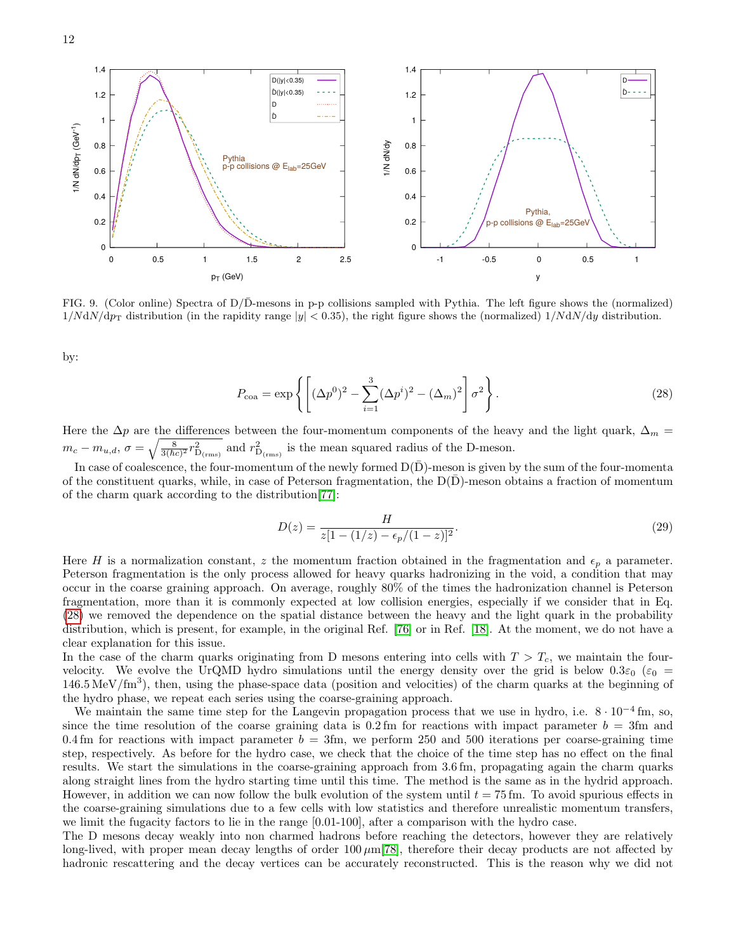



<span id="page-11-0"></span>FIG. 9. (Color online) Spectra of  $D/\overline{D}$ -mesons in p-p collisions sampled with Pythia. The left figure shows the (normalized)  $1/NdN/dp<sub>T</sub>$  distribution (in the rapidity range  $|y| < 0.35$ ), the right figure shows the (normalized)  $1/NdN/dy$  distribution.

<span id="page-11-1"></span>by:

$$
P_{\text{coa}} = \exp\left\{ \left[ (\Delta p^0)^2 - \sum_{i=1}^3 (\Delta p^i)^2 - (\Delta_m)^2 \right] \sigma^2 \right\}.
$$
 (28)

Here the  $\Delta p$  are the differences between the four-momentum components of the heavy and the light quark,  $\Delta_m$  =  $m_c - m_{u,d}, \sigma = \sqrt{\frac{8}{3(\hbar c)^2} r_{\rm D_{(rms)}}^2}$  and  $r_{\rm D_{(rms)}}^2$  is the mean squared radius of the D-meson.

In case of coalescence, the four-momentum of the newly formed  $D(D)$ -meson is given by the sum of the four-momenta of the constituent quarks, while, in case of Peterson fragmentation, the  $D(D)$ -meson obtains a fraction of momentum of the charm quark according to the distribution[\[77\]](#page-23-17):

<span id="page-11-2"></span>
$$
D(z) = \frac{H}{z[1 - (1/z) - \epsilon_p/(1-z)]^2}.
$$
\n(29)

Here H is a normalization constant, z the momentum fraction obtained in the fragmentation and  $\epsilon_p$  a parameter. Peterson fragmentation is the only process allowed for heavy quarks hadronizing in the void, a condition that may occur in the coarse graining approach. On average, roughly 80% of the times the hadronization channel is Peterson fragmentation, more than it is commonly expected at low collision energies, especially if we consider that in Eq. [\(28\)](#page-11-1) we removed the dependence on the spatial distance between the heavy and the light quark in the probability distribution, which is present, for example, in the original Ref. [\[76\]](#page-23-16) or in Ref. [\[18\]](#page-22-43). At the moment, we do not have a clear explanation for this issue.

In the case of the charm quarks originating from D mesons entering into cells with  $T > T_c$ , we maintain the fourvelocity. We evolve the UrQMD hydro simulations until the energy density over the grid is below  $0.3\varepsilon_0$  ( $\varepsilon_0$  =  $146.5 \,\mathrm{MeV}/\mathrm{fm}^3$ ), then, using the phase-space data (position and velocities) of the charm quarks at the beginning of the hydro phase, we repeat each series using the coarse-graining approach.

We maintain the same time step for the Langevin propagation process that we use in hydro, i.e.  $8 \cdot 10^{-4}$  fm, so, since the time resolution of the coarse graining data is  $0.2 \text{ fm}$  for reactions with impact parameter  $b = 3 \text{ fm}$  and 0.4 fm for reactions with impact parameter  $b = 3$ fm, we perform 250 and 500 iterations per coarse-graining time step, respectively. As before for the hydro case, we check that the choice of the time step has no effect on the final results. We start the simulations in the coarse-graining approach from 3.6 fm, propagating again the charm quarks along straight lines from the hydro starting time until this time. The method is the same as in the hydrid approach. However, in addition we can now follow the bulk evolution of the system until  $t = 75$  fm. To avoid spurious effects in the coarse-graining simulations due to a few cells with low statistics and therefore unrealistic momentum transfers, we limit the fugacity factors to lie in the range [0.01-100], after a comparison with the hydro case.

The D mesons decay weakly into non charmed hadrons before reaching the detectors, however they are relatively long-lived, with proper mean decay lengths of order  $100 \mu m[78]$  $100 \mu m[78]$ , therefore their decay products are not affected by hadronic rescattering and the decay vertices can be accurately reconstructed. This is the reason why we did not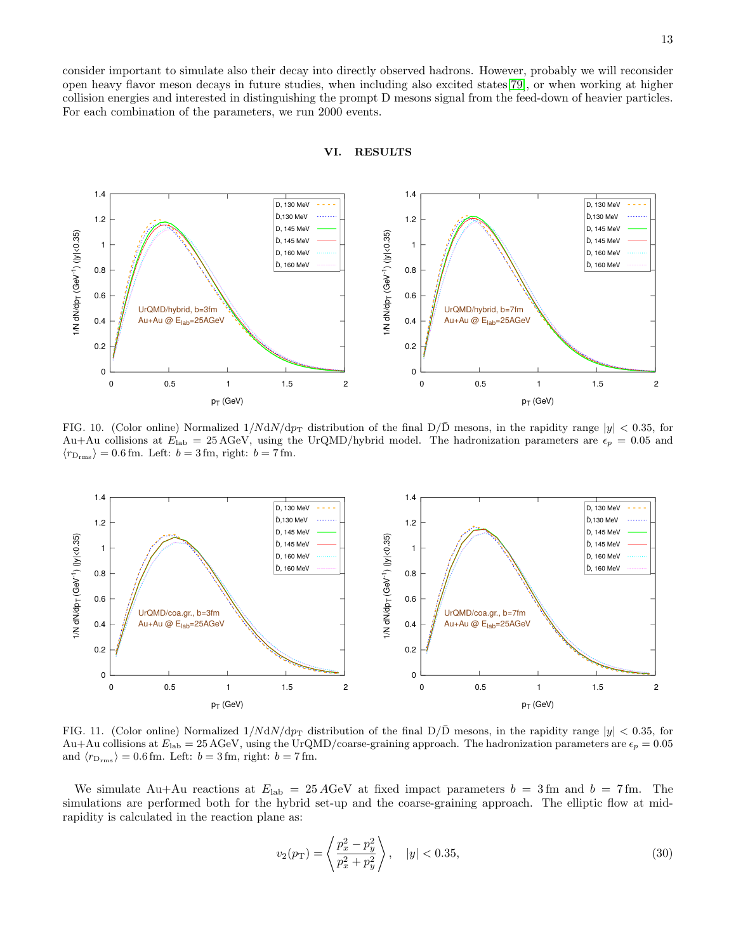13

consider important to simulate also their decay into directly observed hadrons. However, probably we will reconsider open heavy flavor meson decays in future studies, when including also excited states[\[79\]](#page-23-19), or when working at higher collision energies and interested in distinguishing the prompt D mesons signal from the feed-down of heavier particles. For each combination of the parameters, we run 2000 events.





<span id="page-12-0"></span>FIG. 10. (Color online) Normalized  $1/NdN/dp<sub>T</sub>$  distribution of the final  $D/\overline{D}$  mesons, in the rapidity range  $|y| < 0.35$ , for Au+Au collisions at  $E_{\text{lab}} = 25 \text{ AGeV}$ , using the UrQMD/hybrid model. The hadronization parameters are  $\epsilon_p = 0.05$  and  $\langle r_{\rm D_{\rm rms}} \rangle = 0.6\, {\rm fm}.$  Left:  $b = 3\, {\rm fm},$  right:  $b = 7\, {\rm fm}.$ 



<span id="page-12-1"></span>FIG. 11. (Color online) Normalized  $1/NdN/dp<sub>T</sub>$  distribution of the final  $D/\overline{D}$  mesons, in the rapidity range  $|y| < 0.35$ , for Au+Au collisions at  $E_{\text{lab}} = 25 \text{ AGeV}$ , using the UrQMD/coarse-graining approach. The hadronization parameters are  $\epsilon_p = 0.05$ and  $\langle r_{D_{\rm rms}} \rangle = 0.6$  fm. Left:  $b = 3$  fm, right:  $b = 7$  fm.

We simulate Au+Au reactions at  $E_{\text{lab}} = 25 \text{ AGeV}$  at fixed impact parameters  $b = 3 \text{ fm}$  and  $b = 7 \text{ fm}$ . The simulations are performed both for the hybrid set-up and the coarse-graining approach. The elliptic flow at midrapidity is calculated in the reaction plane as:

$$
v_2(p_T) = \left\langle \frac{p_x^2 - p_y^2}{p_x^2 + p_y^2} \right\rangle, \quad |y| < 0.35,\tag{30}
$$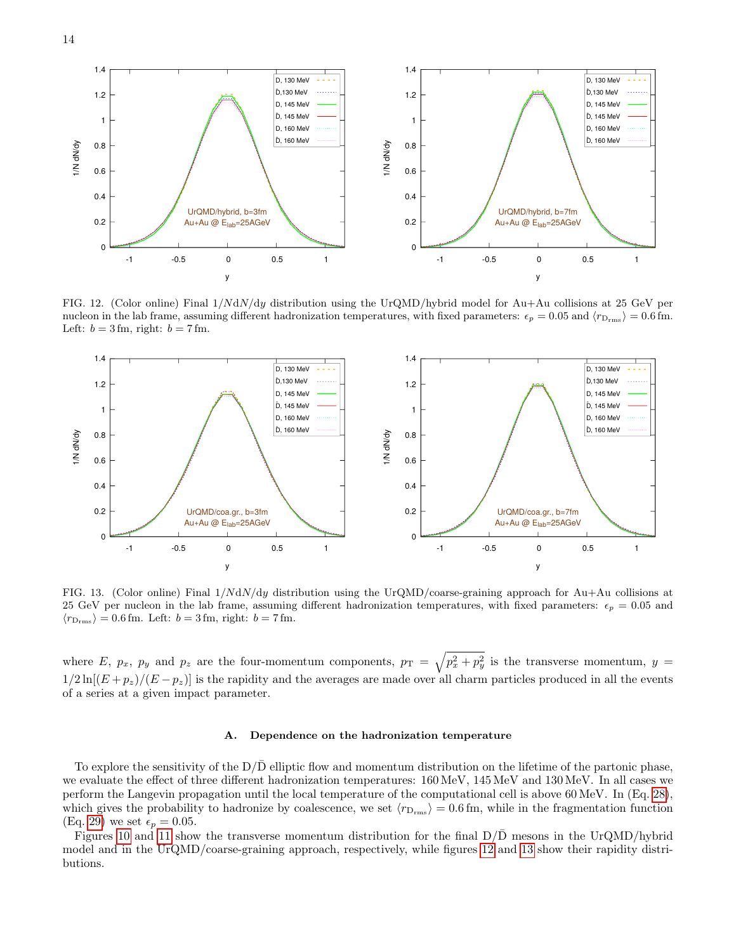

<span id="page-13-0"></span>FIG. 12. (Color online) Final 1/NdN/dy distribution using the UrQMD/hybrid model for Au+Au collisions at 25 GeV per nucleon in the lab frame, assuming different hadronization temperatures, with fixed parameters:  $\epsilon_p = 0.05$  and  $\langle r_{D_{\rm rms}} \rangle = 0.6$  fm. Left:  $b = 3$  fm, right:  $b = 7$  fm.



<span id="page-13-1"></span>FIG. 13. (Color online) Final 1/NdN/dy distribution using the UrQMD/coarse-graining approach for Au+Au collisions at 25 GeV per nucleon in the lab frame, assuming different hadronization temperatures, with fixed parameters:  $\epsilon_p = 0.05$  and  $\langle r_{D_{\rm rms}} \rangle = 0.6$  fm. Left:  $b = 3$  fm, right:  $b = 7$  fm.

where E,  $p_x$ ,  $p_y$  and  $p_z$  are the four-momentum components,  $p_T = \sqrt{p_x^2 + p_y^2}$  is the transverse momentum,  $y =$  $1/2 \ln[(E + p_z)/(E - p_z)]$  is the rapidity and the averages are made over all charm particles produced in all the events of a series at a given impact parameter.

#### A. Dependence on the hadronization temperature

To explore the sensitivity of the  $D/\bar{D}$  elliptic flow and momentum distribution on the lifetime of the partonic phase, we evaluate the effect of three different hadronization temperatures: 160 MeV, 145 MeV and 130 MeV. In all cases we perform the Langevin propagation until the local temperature of the computational cell is above 60 MeV. In (Eq. [28\)](#page-11-1), which gives the probability to hadronize by coalescence, we set  $\langle r_{D_{\rm rms}} \rangle = 0.6$  fm, while in the fragmentation function (Eq. [29\)](#page-11-2) we set  $\epsilon_p = 0.05$ .

Figures [10](#page-12-0) and [11](#page-12-1) show the transverse momentum distribution for the final  $D/D$  mesons in the UrQMD/hybrid model and in the UrQMD/coarse-graining approach, respectively, while figures [12](#page-13-0) and [13](#page-13-1) show their rapidity distributions.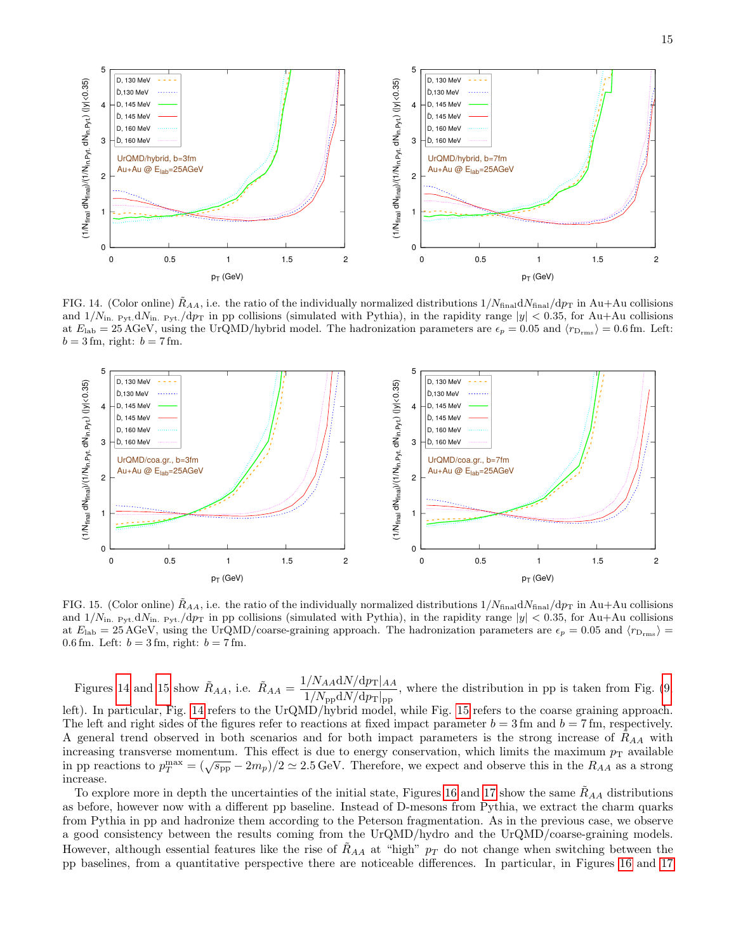

<span id="page-14-0"></span>FIG. 14. (Color online)  $R_{AA}$ , i.e. the ratio of the individually normalized distributions  $1/N_{final}/dp_T$  in Au+Au collisions and  $1/N_{\text{in. Pyt.}}dN_{\text{in. Pyt.}}/dp_{\text{T}}$  in pp collisions (simulated with Pythia), in the rapidity range  $|y| < 0.35$ , for Au+Au collisions at  $E_{\rm lab} = 25 \,\text{AGeV}$ , using the UrQMD/hybrid model. The hadronization parameters are  $\epsilon_p = 0.05$  and  $\langle r_{D\rm rms} \rangle = 0.6 \,\text{fm}$ . Left:  $b = 3$  fm, right:  $b = 7$  fm.



<span id="page-14-1"></span>FIG. 15. (Color online)  $R_{AA}$ , i.e. the ratio of the individually normalized distributions  $1/N_{final}/dp_T$  in Au+Au collisions and  $1/N_{\text{in. Pvt.}}dN_{\text{in. Pvt.}}dp_T$  in pp collisions (simulated with Pythia), in the rapidity range  $|y| < 0.35$ , for Au+Au collisions at  $E_{\rm lab} = 25 \,\text{AGeV}$ , using the UrQMD/coarse-graining approach. The hadronization parameters are  $\epsilon_p = 0.05$  and  $\langle r_{D_{\rm rms}} \rangle$  = 0.6 fm. Left:  $b = 3$  fm, right:  $b = 7$  fm.

Figures [14](#page-14-0) and [15](#page-14-1) show  $R_{AA}$ , i.e.  $R_{AA} = \frac{1/N_{AA} dN/dp_{T}|_{AA}}{1/N_{AA} dN/dp_{T}}$  $\frac{1}{1/N_{\text{pp}} dN/dp_{\text{T}}|_{\text{pp}}}$ , where the distribution in pp is taken from Fig. [\(9,](#page-11-0)

left). In particular, Fig. [14](#page-14-0) refers to the UrQMD/hybrid model, while Fig. [15](#page-14-1) refers to the coarse graining approach. The left and right sides of the figures refer to reactions at fixed impact parameter  $b = 3$  fm and  $b = 7$  fm, respectively. A general trend observed in both scenarios and for both impact parameters is the strong increase of  $R_{AA}$  with increasing transverse momentum. This effect is due to energy conservation, which limits the maximum  $p_T$  available in pp reactions to  $p_T^{\text{max}} = (\sqrt{s_{\text{pp}}} - 2m_p)/2 \simeq 2.5 \text{ GeV}$ . Therefore, we expect and observe this in the  $R_{AA}$  as a strong increase.

To explore more in depth the uncertainties of the initial state, Figures [16](#page-15-0) and [17](#page-15-1) show the same  $R_{AA}$  distributions as before, however now with a different pp baseline. Instead of D-mesons from Pythia, we extract the charm quarks from Pythia in pp and hadronize them according to the Peterson fragmentation. As in the previous case, we observe a good consistency between the results coming from the UrQMD/hydro and the UrQMD/coarse-graining models. However, although essential features like the rise of  $R_{AA}$  at "high"  $p_T$  do not change when switching between the pp baselines, from a quantitative perspective there are noticeable differences. In particular, in Figures [16](#page-15-0) and [17](#page-15-1)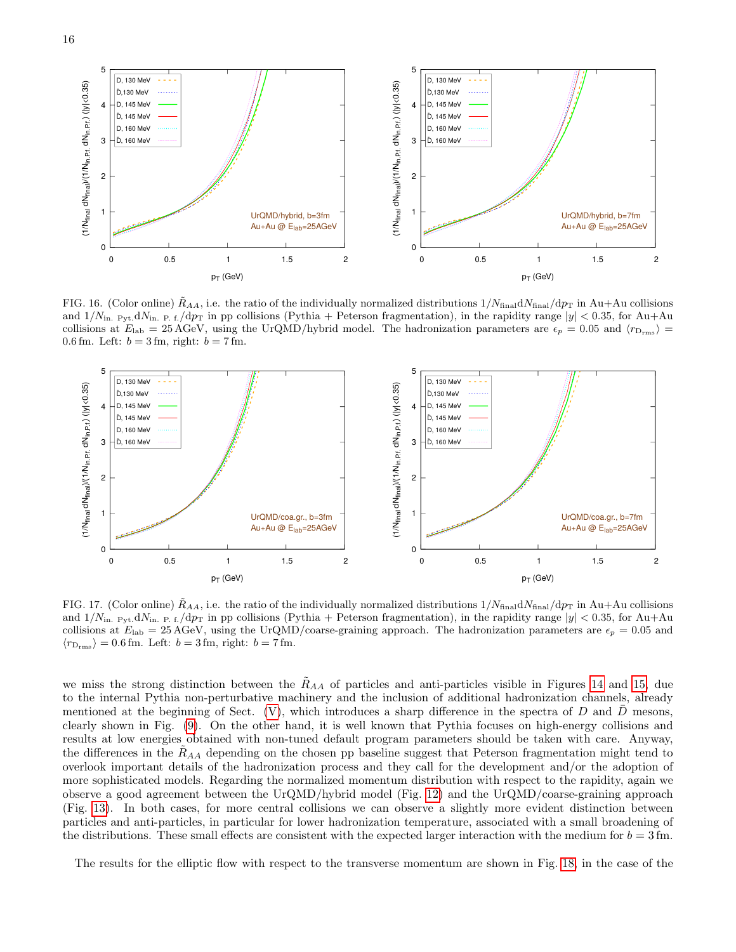

<span id="page-15-0"></span>FIG. 16. (Color online)  $R_{AA}$ , i.e. the ratio of the individually normalized distributions  $1/N_{final}/dp_T$  in Au+Au collisions and  $1/N_{\text{in. Pyt.}}dN_{\text{in. P.f.}}/dp_{\text{T}}$  in pp collisions (Pythia + Peterson fragmentation), in the rapidity range  $|y| < 0.35$ , for Au+Au collisions at  $E_{\rm lab} = 25 \,\text{AGeV}$ , using the UrQMD/hybrid model. The hadronization parameters are  $\epsilon_p = 0.05$  and  $\langle r_{D_{\rm rms}} \rangle$  = 0.6 fm. Left:  $b = 3$  fm, right:  $b = 7$  fm.



<span id="page-15-1"></span>FIG. 17. (Color online)  $R_{AA}$ , i.e. the ratio of the individually normalized distributions  $1/N_{final}/dp_T$  in Au+Au collisions and  $1/N_{\text{in. Pvt.}}dN_{\text{in. P.t.}}dp_T$  in pp collisions (Pythia + Peterson fragmentation), in the rapidity range  $|y| < 0.35$ , for Au+Au collisions at  $E_{\rm lab} = 25 \,\text{AGeV}$ , using the UrQMD/coarse-graining approach. The hadronization parameters are  $\epsilon_p = 0.05$  and  $\langle r_{D_{\rm rms}} \rangle = 0.6$  fm. Left:  $b = 3$  fm, right:  $b = 7$  fm.

we miss the strong distinction between the  $R_{AA}$  of particles and anti-particles visible in Figures [14](#page-14-0) and [15,](#page-14-1) due to the internal Pythia non-perturbative machinery and the inclusion of additional hadronization channels, already mentioned at the beginning of Sect. [\(V\)](#page-8-0), which introduces a sharp difference in the spectra of D and  $\bar{D}$  mesons, clearly shown in Fig. [\(9\)](#page-11-0). On the other hand, it is well known that Pythia focuses on high-energy collisions and results at low energies obtained with non-tuned default program parameters should be taken with care. Anyway, the differences in the  $R_{AA}$  depending on the chosen pp baseline suggest that Peterson fragmentation might tend to overlook important details of the hadronization process and they call for the development and/or the adoption of more sophisticated models. Regarding the normalized momentum distribution with respect to the rapidity, again we observe a good agreement between the UrQMD/hybrid model (Fig. [12\)](#page-13-0) and the UrQMD/coarse-graining approach (Fig. [13\)](#page-13-1). In both cases, for more central collisions we can observe a slightly more evident distinction between particles and anti-particles, in particular for lower hadronization temperature, associated with a small broadening of the distributions. These small effects are consistent with the expected larger interaction with the medium for  $b = 3$  fm.

The results for the elliptic flow with respect to the transverse momentum are shown in Fig. [18,](#page-16-0) in the case of the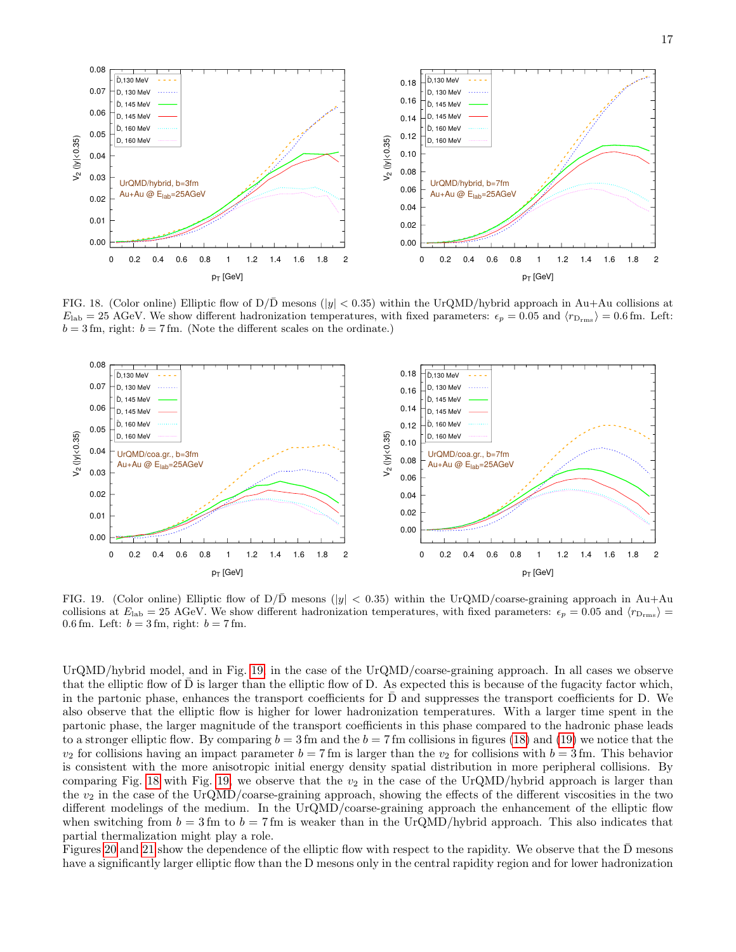

<span id="page-16-0"></span>FIG. 18. (Color online) Elliptic flow of  $D/\bar{D}$  mesons ( $|y| < 0.35$ ) within the UrQMD/hybrid approach in Au+Au collisions at  $E_{\rm lab} = 25$  AGeV. We show different hadronization temperatures, with fixed parameters:  $\epsilon_p = 0.05$  and  $\langle r_{D_{\rm rms}} \rangle = 0.6$  fm. Left:  $b = 3$  fm, right:  $b = 7$  fm. (Note the different scales on the ordinate.)



<span id="page-16-1"></span>FIG. 19. (Color online) Elliptic flow of  $D/\overline{D}$  mesons ( $|y| < 0.35$ ) within the UrQMD/coarse-graining approach in Au+Au collisions at  $E_{\rm lab} = 25$  AGeV. We show different hadronization temperatures, with fixed parameters:  $\epsilon_p = 0.05$  and  $\langle r_{\rm D_{rms}} \rangle =$ 0.6 fm. Left:  $b = 3$  fm, right:  $b = 7$  fm.

UrQMD/hybrid model, and in Fig. [19,](#page-16-1) in the case of the UrQMD/coarse-graining approach. In all cases we observe that the elliptic flow of D is larger than the elliptic flow of D. As expected this is because of the fugacity factor which, in the partonic phase, enhances the transport coefficients for  $D$  and suppresses the transport coefficients for  $D$ . We also observe that the elliptic flow is higher for lower hadronization temperatures. With a larger time spent in the partonic phase, the larger magnitude of the transport coefficients in this phase compared to the hadronic phase leads to a stronger elliptic flow. By comparing  $b = 3$  fm and the  $b = 7$  fm collisions in figures [\(18\)](#page-16-0) and [\(19\)](#page-16-1) we notice that the  $v_2$  for collisions having an impact parameter  $b = 7$  fm is larger than the  $v_2$  for collisions with  $b = 3$  fm. This behavior is consistent with the more anisotropic initial energy density spatial distribution in more peripheral collisions. By comparing Fig. [18](#page-16-0) with Fig. [19,](#page-16-1) we observe that the  $v_2$  in the case of the UrQMD/hybrid approach is larger than the  $v_2$  in the case of the UrQMD/coarse-graining approach, showing the effects of the different viscosities in the two different modelings of the medium. In the UrQMD/coarse-graining approach the enhancement of the elliptic flow when switching from  $b = 3$  fm to  $b = 7$  fm is weaker than in the UrQMD/hybrid approach. This also indicates that partial thermalization might play a role.

Figures [20](#page-17-0) and [21](#page-17-1) show the dependence of the elliptic flow with respect to the rapidity. We observe that the D mesons have a significantly larger elliptic flow than the D mesons only in the central rapidity region and for lower hadronization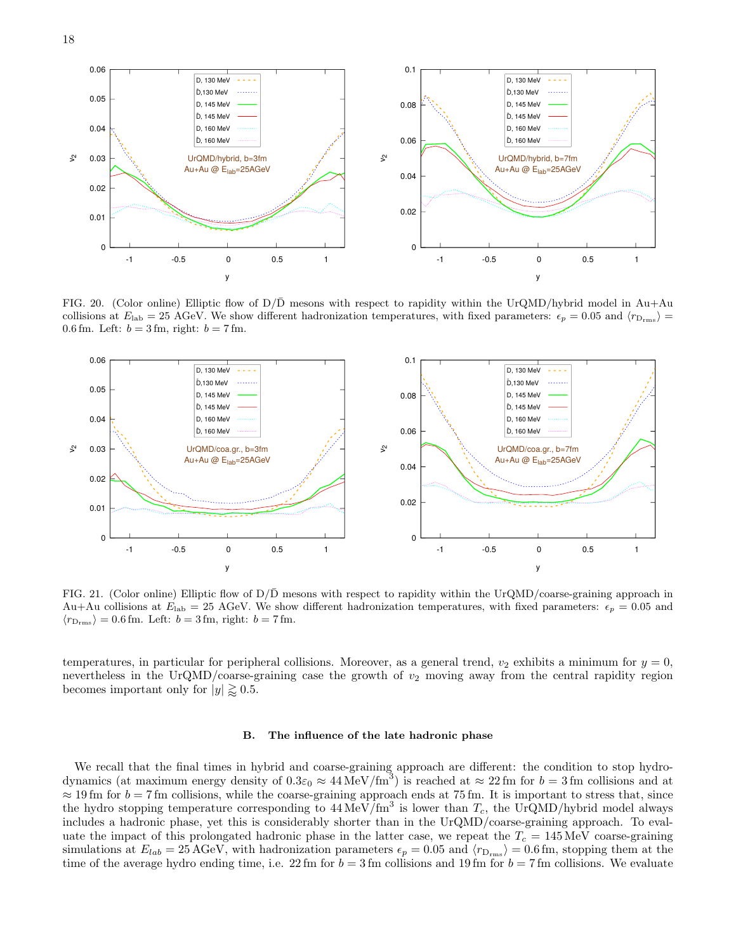



<span id="page-17-0"></span>FIG. 20. (Color online) Elliptic flow of  $D/\overline{D}$  mesons with respect to rapidity within the UrQMD/hybrid model in Au+Au collisions at  $E_{\rm lab} = 25$  AGeV. We show different hadronization temperatures, with fixed parameters:  $\epsilon_p = 0.05$  and  $\langle r_{D_{\rm rms}} \rangle$ 0.6 fm. Left:  $b = 3$  fm, right:  $b = 7$  fm.



<span id="page-17-1"></span>FIG. 21. (Color online) Elliptic flow of  $D/\bar{D}$  mesons with respect to rapidity within the UrQMD/coarse-graining approach in Au+Au collisions at  $E_{\text{lab}} = 25$  AGeV. We show different hadronization temperatures, with fixed parameters:  $\epsilon_p = 0.05$  and  $\langle r_{D_{\rm rms}} \rangle = 0.6$  fm. Left:  $b = 3$  fm, right:  $b = 7$  fm.

temperatures, in particular for peripheral collisions. Moreover, as a general trend,  $v_2$  exhibits a minimum for  $y = 0$ , nevertheless in the UrQMD/coarse-graining case the growth of  $v_2$  moving away from the central rapidity region becomes important only for  $|y| \gtrapprox 0.5$ .

#### B. The influence of the late hadronic phase

We recall that the final times in hybrid and coarse-graining approach are different: the condition to stop hydrodynamics (at maximum energy density of  $0.3\varepsilon_0 \approx 44 \text{ MeV}/\text{fm}^3$ ) is reached at  $\approx 22 \text{ fm}$  for  $b = 3 \text{ fm}$  collisions and at  $\approx$  19 fm for  $b = 7$  fm collisions, while the coarse-graining approach ends at 75 fm. It is important to stress that, since the hydro stopping temperature corresponding to  $44 \text{ MeV}/\text{fm}^3$  is lower than  $T_c$ , the UrQMD/hybrid model always includes a hadronic phase, yet this is considerably shorter than in the UrQMD/coarse-graining approach. To evaluate the impact of this prolongated hadronic phase in the latter case, we repeat the  $T_c = 145 \,\text{MeV}$  coarse-graining simulations at  $E_{lab} = 25 \,\text{AGeV}$ , with hadronization parameters  $\epsilon_p = 0.05$  and  $\langle r_{D_{rms}} \rangle = 0.6 \,\text{fm}$ , stopping them at the time of the average hydro ending time, i.e. 22 fm for  $b = 3$  fm collisions and 19 fm for  $b = 7$  fm collisions. We evaluate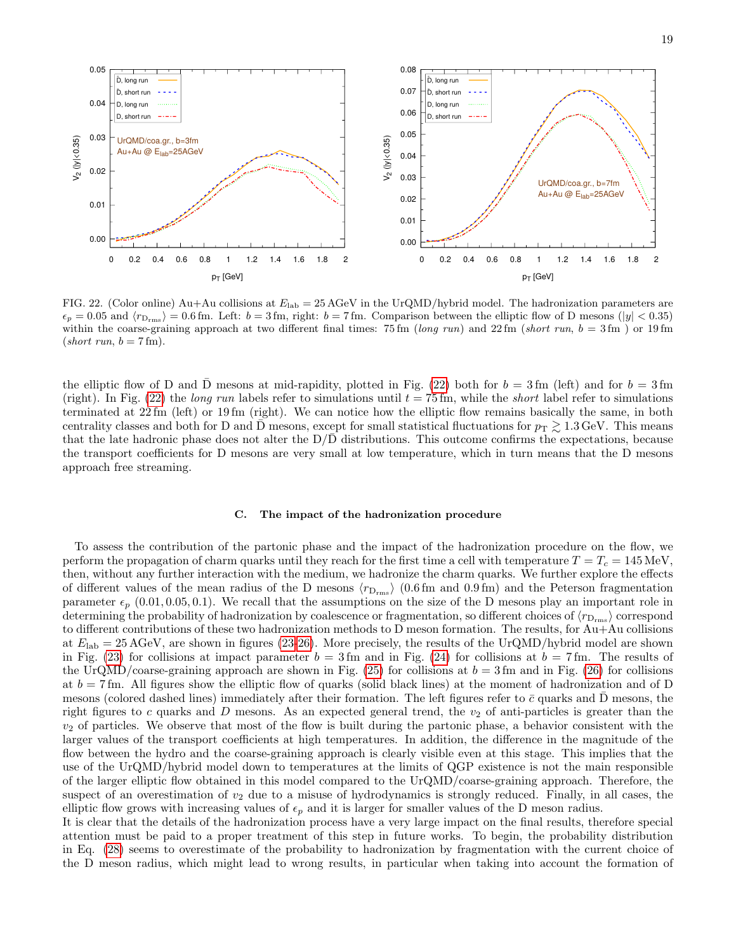

<span id="page-18-0"></span>FIG. 22. (Color online) Au+Au collisions at  $E_{\text{lab}} = 25 \text{ AGeV}$  in the UrQMD/hybrid model. The hadronization parameters are  $\epsilon_p = 0.05$  and  $\langle r_{\text{Drms}} \rangle = 0.6$  fm. Left:  $b = 3$  fm, right:  $b = 7$  fm. Comparison between the elliptic flow of D mesons (|y| < 0.35) within the coarse-graining approach at two different final times: 75 fm (long run) and 22 fm (short run,  $b = 3$  fm) or 19 fm  $(short \; run, \; b = 7 fm).$ 

the elliptic flow of D and D mesons at mid-rapidity, plotted in Fig. [\(22\)](#page-18-0) both for  $b = 3$  fm (left) and for  $b = 3$  fm (right). In Fig. [\(22\)](#page-18-0) the long run labels refer to simulations until  $t = 75$  fm, while the *short* label refer to simulations terminated at 22 fm (left) or 19 fm (right). We can notice how the elliptic flow remains basically the same, in both centrality classes and both for D and D mesons, except for small statistical fluctuations for  $p_T \gtrsim 1.3 \,\text{GeV}$ . This means that the late hadronic phase does not alter the  $D/D$  distributions. This outcome confirms the expectations, because the transport coefficients for D mesons are very small at low temperature, which in turn means that the D mesons approach free streaming.

### <span id="page-18-1"></span>C. The impact of the hadronization procedure

To assess the contribution of the partonic phase and the impact of the hadronization procedure on the flow, we perform the propagation of charm quarks until they reach for the first time a cell with temperature  $T = T_c = 145$  MeV, then, without any further interaction with the medium, we hadronize the charm quarks. We further explore the effects of different values of the mean radius of the D mesons  $\langle r_{D_{\rm rms}} \rangle$  (0.6 fm and 0.9 fm) and the Peterson fragmentation parameter  $\epsilon_p$  (0.01, 0.05, 0.1). We recall that the assumptions on the size of the D mesons play an important role in determining the probability of hadronization by coalescence or fragmentation, so different choices of  $\langle r_{\rm D_{rms}}\rangle$  correspond to different contributions of these two hadronization methods to D meson formation. The results, for Au+Au collisions at  $E_{\rm lab} = 25 \,\text{AGeV}$ , are shown in figures [\(23-](#page-19-0)[26\)](#page-21-0). More precisely, the results of the UrQMD/hybrid model are shown in Fig. [\(23\)](#page-19-0) for collisions at impact parameter  $b = 3$  fm and in Fig. [\(24\)](#page-20-0) for collisions at  $b = 7$  fm. The results of the UrQMD/coarse-graining approach are shown in Fig.  $(25)$  for collisions at  $b = 3$  fm and in Fig.  $(26)$  for collisions at  $b = 7$  fm. All figures show the elliptic flow of quarks (solid black lines) at the moment of hadronization and of D mesons (colored dashed lines) immediately after their formation. The left figures refer to  $\bar{c}$  quarks and D mesons, the right figures to c quarks and  $D$  mesons. As an expected general trend, the  $v_2$  of anti-particles is greater than the  $v_2$  of particles. We observe that most of the flow is built during the partonic phase, a behavior consistent with the larger values of the transport coefficients at high temperatures. In addition, the difference in the magnitude of the flow between the hydro and the coarse-graining approach is clearly visible even at this stage. This implies that the use of the UrQMD/hybrid model down to temperatures at the limits of QGP existence is not the main responsible of the larger elliptic flow obtained in this model compared to the UrQMD/coarse-graining approach. Therefore, the suspect of an overestimation of  $v_2$  due to a misuse of hydrodynamics is strongly reduced. Finally, in all cases, the elliptic flow grows with increasing values of  $\epsilon_p$  and it is larger for smaller values of the D meson radius.

It is clear that the details of the hadronization process have a very large impact on the final results, therefore special attention must be paid to a proper treatment of this step in future works. To begin, the probability distribution in Eq. [\(28\)](#page-11-1) seems to overestimate of the probability to hadronization by fragmentation with the current choice of the D meson radius, which might lead to wrong results, in particular when taking into account the formation of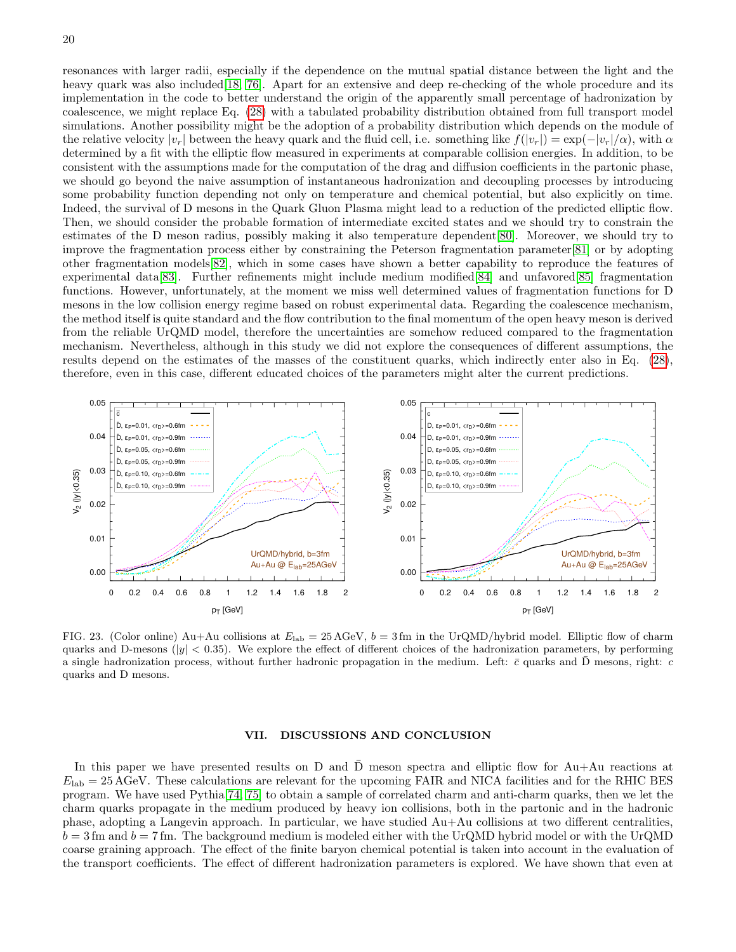resonances with larger radii, especially if the dependence on the mutual spatial distance between the light and the heavy quark was also included [\[18,](#page-22-43) [76\]](#page-23-16). Apart for an extensive and deep re-checking of the whole procedure and its implementation in the code to better understand the origin of the apparently small percentage of hadronization by coalescence, we might replace Eq. [\(28\)](#page-11-1) with a tabulated probability distribution obtained from full transport model simulations. Another possibility might be the adoption of a probability distribution which depends on the module of the relative velocity  $|v_r|$  between the heavy quark and the fluid cell, i.e. something like  $f(|v_r|) = \exp(-|v_r|/\alpha)$ , with  $\alpha$ determined by a fit with the elliptic flow measured in experiments at comparable collision energies. In addition, to be consistent with the assumptions made for the computation of the drag and diffusion coefficients in the partonic phase, we should go beyond the naive assumption of instantaneous hadronization and decoupling processes by introducing some probability function depending not only on temperature and chemical potential, but also explicitly on time. Indeed, the survival of D mesons in the Quark Gluon Plasma might lead to a reduction of the predicted elliptic flow. Then, we should consider the probable formation of intermediate excited states and we should try to constrain the estimates of the D meson radius, possibly making it also temperature dependent[\[80\]](#page-23-20). Moreover, we should try to improve the fragmentation process either by constraining the Peterson fragmentation parameter[\[81\]](#page-23-21) or by adopting other fragmentation models[\[82\]](#page-23-22), which in some cases have shown a better capability to reproduce the features of experimental data[\[83\]](#page-23-23). Further refinements might include medium modified[\[84\]](#page-23-24) and unfavored[\[85\]](#page-23-25) fragmentation functions. However, unfortunately, at the moment we miss well determined values of fragmentation functions for D mesons in the low collision energy regime based on robust experimental data. Regarding the coalescence mechanism, the method itself is quite standard and the flow contribution to the final momentum of the open heavy meson is derived from the reliable UrQMD model, therefore the uncertainties are somehow reduced compared to the fragmentation mechanism. Nevertheless, although in this study we did not explore the consequences of different assumptions, the results depend on the estimates of the masses of the constituent quarks, which indirectly enter also in Eq. [\(28\)](#page-11-1), therefore, even in this case, different educated choices of the parameters might alter the current predictions.



<span id="page-19-0"></span>FIG. 23. (Color online) Au+Au collisions at  $E_{\text{lab}} = 25 \text{ AGeV}$ ,  $b = 3 \text{ fm}$  in the UrQMD/hybrid model. Elliptic flow of charm quarks and D-mesons ( $|y| < 0.35$ ). We explore the effect of different choices of the hadronization parameters, by performing a single hadronization process, without further hadronic propagation in the medium. Left:  $\bar{c}$  quarks and D mesons, right:  $\bar{c}$ quarks and D mesons.

#### VII. DISCUSSIONS AND CONCLUSION

In this paper we have presented results on D and D meson spectra and elliptic flow for  $Au+Au$  reactions at  $E_{\rm lab} = 25 \,\text{AGeV}$ . These calculations are relevant for the upcoming FAIR and NICA facilities and for the RHIC BES program. We have used Pythia[\[74,](#page-23-14) [75\]](#page-23-15) to obtain a sample of correlated charm and anti-charm quarks, then we let the charm quarks propagate in the medium produced by heavy ion collisions, both in the partonic and in the hadronic phase, adopting a Langevin approach. In particular, we have studied Au+Au collisions at two different centralities,  $b = 3$  fm and  $b = 7$  fm. The background medium is modeled either with the UrQMD hybrid model or with the UrQMD coarse graining approach. The effect of the finite baryon chemical potential is taken into account in the evaluation of the transport coefficients. The effect of different hadronization parameters is explored. We have shown that even at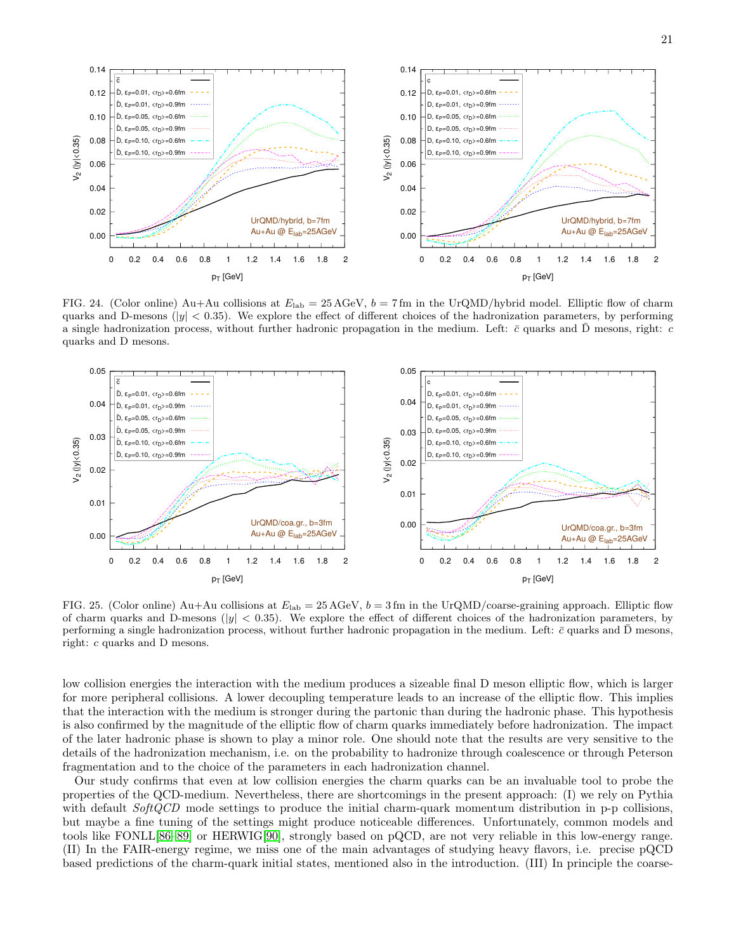

<span id="page-20-0"></span>FIG. 24. (Color online) Au+Au collisions at  $E_{\text{lab}} = 25 \,\text{AGeV}$ ,  $b = 7 \,\text{fm}$  in the UrQMD/hybrid model. Elliptic flow of charm quarks and D-mesons ( $|y| < 0.35$ ). We explore the effect of different choices of the hadronization parameters, by performing a single hadronization process, without further hadronic propagation in the medium. Left:  $\bar{c}$  quarks and  $\bar{D}$  mesons, right:  $c$ quarks and D mesons.



<span id="page-20-1"></span>FIG. 25. (Color online) Au+Au collisions at  $E_{\text{lab}} = 25 \text{ AGeV}$ ,  $b = 3 \text{ fm}$  in the UrQMD/coarse-graining approach. Elliptic flow of charm quarks and D-mesons ( $|y| < 0.35$ ). We explore the effect of different choices of the hadronization parameters, by performing a single hadronization process, without further hadronic propagation in the medium. Left:  $\bar{c}$  quarks and D mesons, right: c quarks and D mesons.

low collision energies the interaction with the medium produces a sizeable final D meson elliptic flow, which is larger for more peripheral collisions. A lower decoupling temperature leads to an increase of the elliptic flow. This implies that the interaction with the medium is stronger during the partonic than during the hadronic phase. This hypothesis is also confirmed by the magnitude of the elliptic flow of charm quarks immediately before hadronization. The impact of the later hadronic phase is shown to play a minor role. One should note that the results are very sensitive to the details of the hadronization mechanism, i.e. on the probability to hadronize through coalescence or through Peterson fragmentation and to the choice of the parameters in each hadronization channel.

Our study confirms that even at low collision energies the charm quarks can be an invaluable tool to probe the properties of the QCD-medium. Nevertheless, there are shortcomings in the present approach: (I) we rely on Pythia with default  $SoftQCD$  mode settings to produce the initial charm-quark momentum distribution in p-p collisions, but maybe a fine tuning of the settings might produce noticeable differences. Unfortunately, common models and tools like FONLL[\[86](#page-23-26)[–89\]](#page-23-27) or HERWIG[\[90\]](#page-23-28), strongly based on pQCD, are not very reliable in this low-energy range. (II) In the FAIR-energy regime, we miss one of the main advantages of studying heavy flavors, i.e. precise pQCD based predictions of the charm-quark initial states, mentioned also in the introduction. (III) In principle the coarse-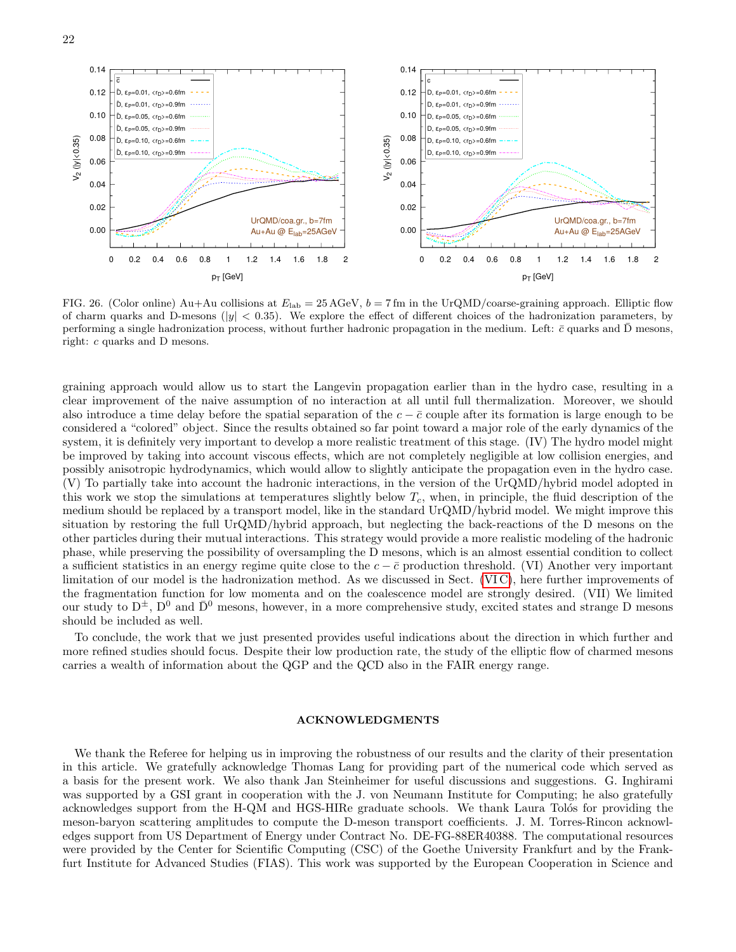



<span id="page-21-0"></span>FIG. 26. (Color online) Au+Au collisions at  $E_{\text{lab}} = 25 \,\text{AGeV}$ ,  $b = 7 \,\text{fm}$  in the UrQMD/coarse-graining approach. Elliptic flow of charm quarks and D-mesons ( $|y|$  < 0.35). We explore the effect of different choices of the hadronization parameters, by performing a single hadronization process, without further hadronic propagation in the medium. Left:  $\bar{c}$  quarks and  $\bar{D}$  mesons, right: c quarks and D mesons.

graining approach would allow us to start the Langevin propagation earlier than in the hydro case, resulting in a clear improvement of the naive assumption of no interaction at all until full thermalization. Moreover, we should also introduce a time delay before the spatial separation of the  $c - \bar{c}$  couple after its formation is large enough to be considered a "colored" object. Since the results obtained so far point toward a major role of the early dynamics of the system, it is definitely very important to develop a more realistic treatment of this stage. (IV) The hydro model might be improved by taking into account viscous effects, which are not completely negligible at low collision energies, and possibly anisotropic hydrodynamics, which would allow to slightly anticipate the propagation even in the hydro case. (V) To partially take into account the hadronic interactions, in the version of the UrQMD/hybrid model adopted in this work we stop the simulations at temperatures slightly below  $T_c$ , when, in principle, the fluid description of the medium should be replaced by a transport model, like in the standard UrQMD/hybrid model. We might improve this situation by restoring the full UrQMD/hybrid approach, but neglecting the back-reactions of the D mesons on the other particles during their mutual interactions. This strategy would provide a more realistic modeling of the hadronic phase, while preserving the possibility of oversampling the D mesons, which is an almost essential condition to collect a sufficient statistics in an energy regime quite close to the  $c - \bar{c}$  production threshold. (VI) Another very important limitation of our model is the hadronization method. As we discussed in Sect. [\(VI C\)](#page-18-1), here further improvements of the fragmentation function for low momenta and on the coalescence model are strongly desired. (VII) We limited our study to  $D^{\pm}$ ,  $D^0$  and  $\bar{D}^0$  mesons, however, in a more comprehensive study, excited states and strange D mesons should be included as well.

To conclude, the work that we just presented provides useful indications about the direction in which further and more refined studies should focus. Despite their low production rate, the study of the elliptic flow of charmed mesons carries a wealth of information about the QGP and the QCD also in the FAIR energy range.

# ACKNOWLEDGMENTS

We thank the Referee for helping us in improving the robustness of our results and the clarity of their presentation in this article. We gratefully acknowledge Thomas Lang for providing part of the numerical code which served as a basis for the present work. We also thank Jan Steinheimer for useful discussions and suggestions. G. Inghirami was supported by a GSI grant in cooperation with the J. von Neumann Institute for Computing; he also gratefully acknowledges support from the H-QM and HGS-HIRe graduate schools. We thank Laura Tolós for providing the meson-baryon scattering amplitudes to compute the D-meson transport coefficients. J. M. Torres-Rincon acknowledges support from US Department of Energy under Contract No. DE-FG-88ER40388. The computational resources were provided by the Center for Scientific Computing (CSC) of the Goethe University Frankfurt and by the Frankfurt Institute for Advanced Studies (FIAS). This work was supported by the European Cooperation in Science and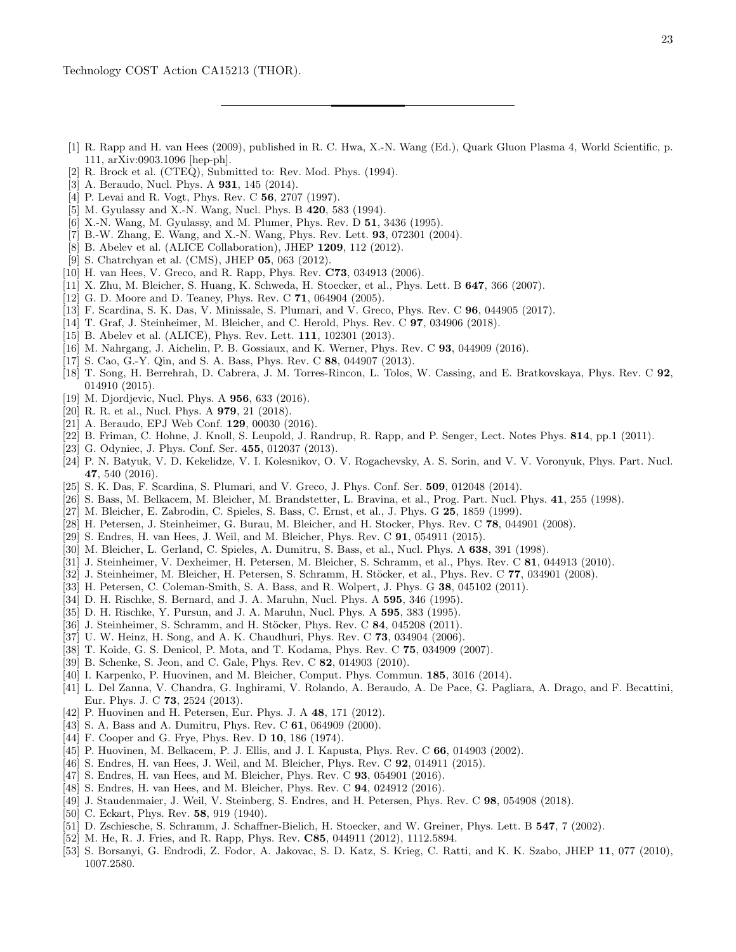- <span id="page-22-0"></span>[1] R. Rapp and H. van Hees (2009), published in R. C. Hwa, X.-N. Wang (Ed.), Quark Gluon Plasma 4, World Scientific, p. 111, arXiv:0903.1096 [hep-ph].
- <span id="page-22-1"></span>[2] R. Brock et al. (CTEQ), Submitted to: Rev. Mod. Phys. (1994).
- <span id="page-22-2"></span>[3] A. Beraudo, Nucl. Phys. A **931**, 145 (2014).
- <span id="page-22-3"></span>[4] P. Levai and R. Vogt, Phys. Rev. C **56**, 2707 (1997).
- <span id="page-22-4"></span>[5] M. Gyulassy and X.-N. Wang, Nucl. Phys. B 420, 583 (1994).
- [6] X.-N. Wang, M. Gyulassy, and M. Plumer, Phys. Rev. D 51, 3436 (1995).
- <span id="page-22-5"></span>[7] B.-W. Zhang, E. Wang, and X.-N. Wang, Phys. Rev. Lett. 93, 072301 (2004).
- <span id="page-22-6"></span>[8] B. Abelev et al. (ALICE Collaboration), JHEP 1209, 112 (2012).
- <span id="page-22-7"></span>[9] S. Chatrchyan et al. (CMS), JHEP 05, 063 (2012).
- <span id="page-22-8"></span>[10] H. van Hees, V. Greco, and R. Rapp, Phys. Rev. **C73**, 034913 (2006).
- <span id="page-22-9"></span>[11] X. Zhu, M. Bleicher, S. Huang, K. Schweda, H. Stoecker, et al., Phys. Lett. B **647**, 366 (2007).
- <span id="page-22-10"></span>[12] G. D. Moore and D. Teaney, Phys. Rev. C 71, 064904 (2005).
- [13] F. Scardina, S. K. Das, V. Minissale, S. Plumari, and V. Greco, Phys. Rev. C 96, 044905 (2017).
- <span id="page-22-11"></span>[14] T. Graf, J. Steinheimer, M. Bleicher, and C. Herold, Phys. Rev. C 97, 034906 (2018).
- <span id="page-22-12"></span>[15] B. Abelev et al. (ALICE), Phys. Rev. Lett. **111**, 102301 (2013).
- <span id="page-22-13"></span>[16] M. Nahrgang, J. Aichelin, P. B. Gossiaux, and K. Werner, Phys. Rev. C 93, 044909 (2016).
- <span id="page-22-14"></span>[17] S. Cao, G.-Y. Qin, and S. A. Bass, Phys. Rev. C 88, 044907 (2013).
- <span id="page-22-43"></span>[18] T. Song, H. Berrehrah, D. Cabrera, J. M. Torres-Rincon, L. Tolos, W. Cassing, and E. Bratkovskaya, Phys. Rev. C 92, 014910 (2015).
- [19] M. Djordjevic, Nucl. Phys. A **956**, 633 (2016).
- <span id="page-22-15"></span>[20] R. R. et al., Nucl. Phys. A 979, 21 (2018).
- <span id="page-22-16"></span>[21] A. Beraudo, EPJ Web Conf. 129, 00030 (2016).
- <span id="page-22-17"></span>[22] B. Friman, C. Hohne, J. Knoll, S. Leupold, J. Randrup, R. Rapp, and P. Senger, Lect. Notes Phys. 814, pp.1 (2011).
- <span id="page-22-18"></span>[23] G. Odyniec, J. Phys. Conf. Ser. 455, 012037 (2013).
- <span id="page-22-19"></span>[24] P. N. Batyuk, V. D. Kekelidze, V. I. Kolesnikov, O. V. Rogachevsky, A. S. Sorin, and V. V. Voronyuk, Phys. Part. Nucl. 47, 540 (2016).
- <span id="page-22-20"></span>[25] S. K. Das, F. Scardina, S. Plumari, and V. Greco, J. Phys. Conf. Ser. 509, 012048 (2014).
- <span id="page-22-21"></span>[26] S. Bass, M. Belkacem, M. Bleicher, M. Brandstetter, L. Bravina, et al., Prog. Part. Nucl. Phys. 41, 255 (1998).
- [27] M. Bleicher, E. Zabrodin, C. Spieles, S. Bass, C. Ernst, et al., J. Phys. G 25, 1859 (1999).
- <span id="page-22-22"></span>[28] H. Petersen, J. Steinheimer, G. Burau, M. Bleicher, and H. Stocker, Phys. Rev. C 78, 044901 (2008).
- <span id="page-22-23"></span>[29] S. Endres, H. van Hees, J. Weil, and M. Bleicher, Phys. Rev. C 91, 054911 (2015).
- <span id="page-22-24"></span>[30] M. Bleicher, L. Gerland, C. Spieles, A. Dumitru, S. Bass, et al., Nucl. Phys. A 638, 391 (1998).
- <span id="page-22-25"></span>[31] J. Steinheimer, V. Dexheimer, H. Petersen, M. Bleicher, S. Schramm, et al., Phys. Rev. C 81, 044913 (2010).
- <span id="page-22-26"></span>[32] J. Steinheimer, M. Bleicher, H. Petersen, S. Schramm, H. Stöcker, et al., Phys. Rev. C 77, 034901 (2008).
- <span id="page-22-27"></span>[33] H. Petersen, C. Coleman-Smith, S. A. Bass, and R. Wolpert, J. Phys. G 38, 045102 (2011).
- <span id="page-22-28"></span>[34] D. H. Rischke, S. Bernard, and J. A. Maruhn, Nucl. Phys. A 595, 346 (1995).
- <span id="page-22-29"></span>[35] D. H. Rischke, Y. Pursun, and J. A. Maruhn, Nucl. Phys. A 595, 383 (1995).
- <span id="page-22-30"></span>[36] J. Steinheimer, S. Schramm, and H. Stöcker, Phys. Rev. C 84, 045208 (2011).
- <span id="page-22-31"></span>[37] U. W. Heinz, H. Song, and A. K. Chaudhuri, Phys. Rev. C 73, 034904 (2006).
- [38] T. Koide, G. S. Denicol, P. Mota, and T. Kodama, Phys. Rev. C 75, 034909 (2007).
- [39] B. Schenke, S. Jeon, and C. Gale, Phys. Rev. C 82, 014903 (2010).
- [40] I. Karpenko, P. Huovinen, and M. Bleicher, Comput. Phys. Commun. 185, 3016 (2014).
- <span id="page-22-32"></span>[41] L. Del Zanna, V. Chandra, G. Inghirami, V. Rolando, A. Beraudo, A. De Pace, G. Pagliara, A. Drago, and F. Becattini, Eur. Phys. J. C 73, 2524 (2013).
- <span id="page-22-33"></span>[42] P. Huovinen and H. Petersen, Eur. Phys. J. A 48, 171 (2012).
- <span id="page-22-34"></span>[43] S. A. Bass and A. Dumitru, Phys. Rev. C **61**, 064909 (2000).
- <span id="page-22-35"></span>[44] F. Cooper and G. Frye, Phys. Rev. D **10**, 186 (1974).
- <span id="page-22-36"></span>[45] P. Huovinen, M. Belkacem, P. J. Ellis, and J. I. Kapusta, Phys. Rev. C 66, 014903 (2002).
- <span id="page-22-37"></span>[46] S. Endres, H. van Hees, J. Weil, and M. Bleicher, Phys. Rev. C 92, 014911 (2015).
- [47] S. Endres, H. van Hees, and M. Bleicher, Phys. Rev. C 93, 054901 (2016).
- [48] S. Endres, H. van Hees, and M. Bleicher, Phys. Rev. C **94**, 024912 (2016).
- <span id="page-22-38"></span>[49] J. Staudenmaier, J. Weil, V. Steinberg, S. Endres, and H. Petersen, Phys. Rev. C 98, 054908 (2018).
- <span id="page-22-39"></span>[50] C. Eckart, Phys. Rev. **58**, 919 (1940).
- <span id="page-22-40"></span>[51] D. Zschiesche, S. Schramm, J. Schaffner-Bielich, H. Stoecker, and W. Greiner, Phys. Lett. B 547, 7 (2002).
- <span id="page-22-41"></span>[52] M. He, R. J. Fries, and R. Rapp, Phys. Rev. C85, 044911 (2012), 1112.5894.
- <span id="page-22-42"></span>[53] S. Borsanyi, G. Endrodi, Z. Fodor, A. Jakovac, S. D. Katz, S. Krieg, C. Ratti, and K. K. Szabo, JHEP 11, 077 (2010), 1007.2580.